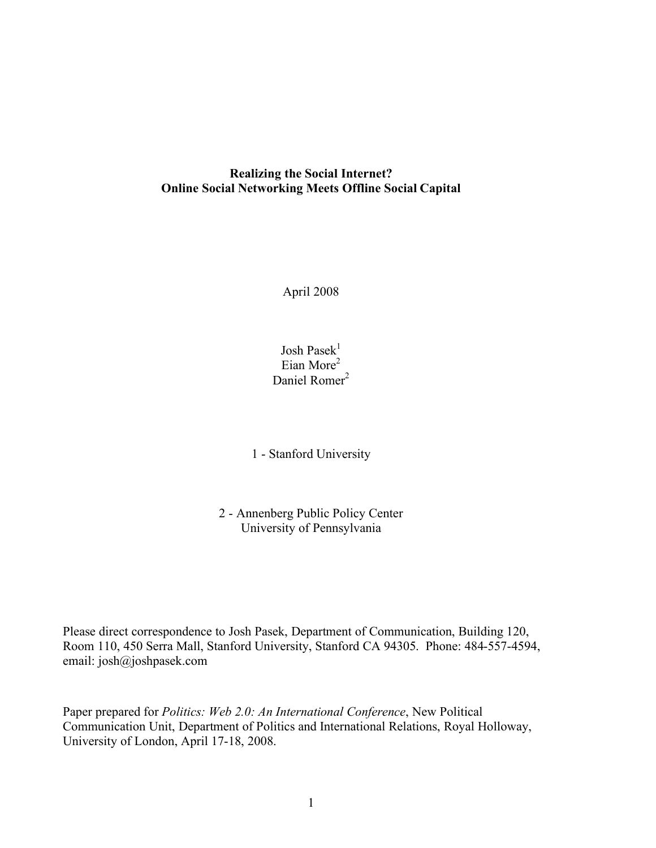### **Realizing the Social Internet? Online Social Networking Meets Offline Social Capital**

April 2008

Josh Pase $k^1$ Eian More<sup>2</sup> Daniel Romer<sup>2</sup>

1 - Stanford University

2 - Annenberg Public Policy Center University of Pennsylvania

Please direct correspondence to Josh Pasek, Department of Communication, Building 120, Room 110, 450 Serra Mall, Stanford University, Stanford CA 94305. Phone: 484-557-4594, email: josh@joshpasek.com

Paper prepared for *Politics: Web 2.0: An International Conference*, New Political Communication Unit, Department of Politics and International Relations, Royal Holloway, University of London, April 17-18, 2008.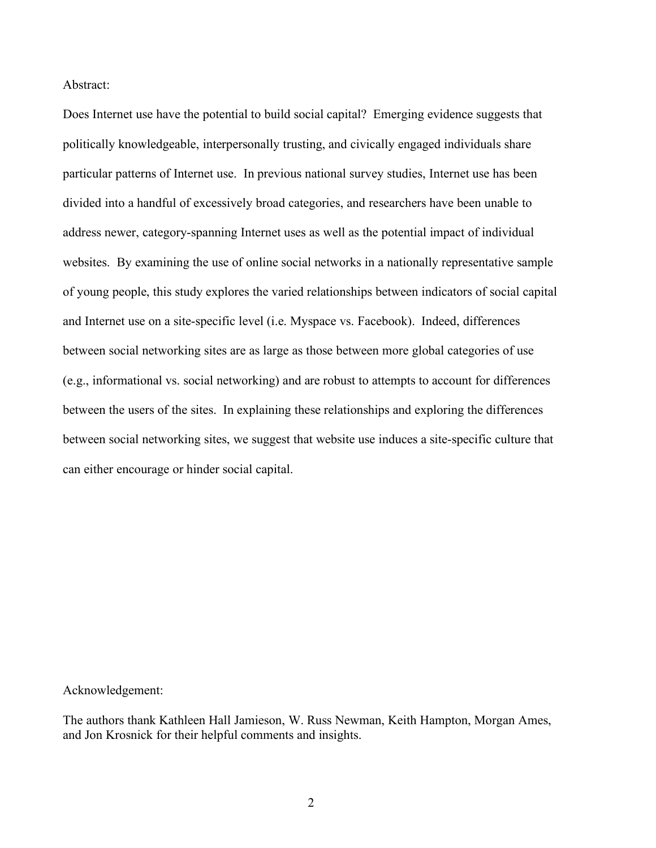Abstract:

Does Internet use have the potential to build social capital? Emerging evidence suggests that politically knowledgeable, interpersonally trusting, and civically engaged individuals share particular patterns of Internet use. In previous national survey studies, Internet use has been divided into a handful of excessively broad categories, and researchers have been unable to address newer, category-spanning Internet uses as well as the potential impact of individual websites. By examining the use of online social networks in a nationally representative sample of young people, this study explores the varied relationships between indicators of social capital and Internet use on a site-specific level (i.e. Myspace vs. Facebook). Indeed, differences between social networking sites are as large as those between more global categories of use (e.g., informational vs. social networking) and are robust to attempts to account for differences between the users of the sites. In explaining these relationships and exploring the differences between social networking sites, we suggest that website use induces a site-specific culture that can either encourage or hinder social capital.

Acknowledgement:

The authors thank Kathleen Hall Jamieson, W. Russ Newman, Keith Hampton, Morgan Ames, and Jon Krosnick for their helpful comments and insights.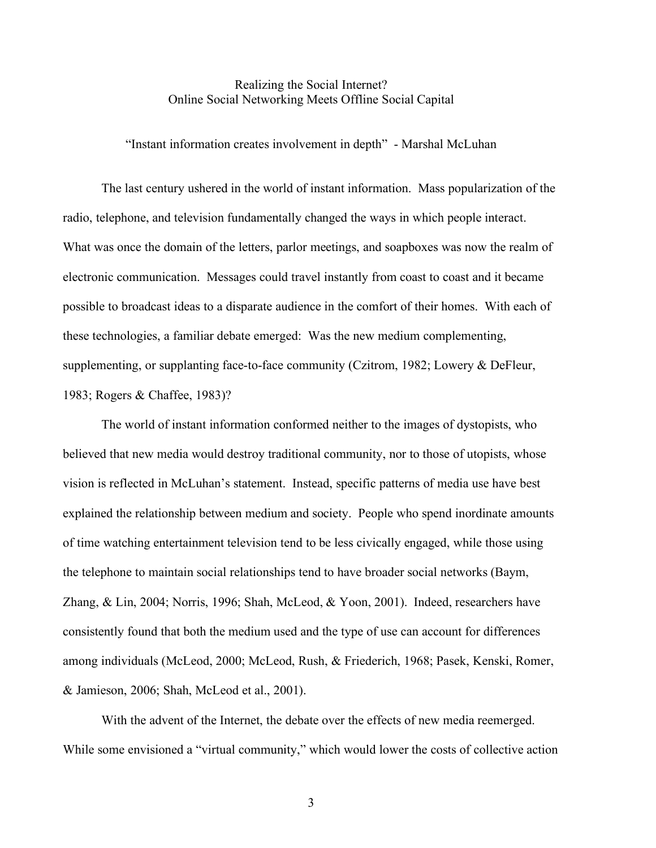### Realizing the Social Internet? Online Social Networking Meets Offline Social Capital

"Instant information creates involvement in depth" - Marshal McLuhan

The last century ushered in the world of instant information. Mass popularization of the radio, telephone, and television fundamentally changed the ways in which people interact. What was once the domain of the letters, parlor meetings, and soapboxes was now the realm of electronic communication. Messages could travel instantly from coast to coast and it became possible to broadcast ideas to a disparate audience in the comfort of their homes. With each of these technologies, a familiar debate emerged: Was the new medium complementing, supplementing, or supplanting face-to-face community (Czitrom, 1982; Lowery & DeFleur, 1983; Rogers & Chaffee, 1983)?

The world of instant information conformed neither to the images of dystopists, who believed that new media would destroy traditional community, nor to those of utopists, whose vision is reflected in McLuhan's statement. Instead, specific patterns of media use have best explained the relationship between medium and society. People who spend inordinate amounts of time watching entertainment television tend to be less civically engaged, while those using the telephone to maintain social relationships tend to have broader social networks (Baym, Zhang, & Lin, 2004; Norris, 1996; Shah, McLeod, & Yoon, 2001). Indeed, researchers have consistently found that both the medium used and the type of use can account for differences among individuals (McLeod, 2000; McLeod, Rush, & Friederich, 1968; Pasek, Kenski, Romer, & Jamieson, 2006; Shah, McLeod et al., 2001).

With the advent of the Internet, the debate over the effects of new media reemerged. While some envisioned a "virtual community," which would lower the costs of collective action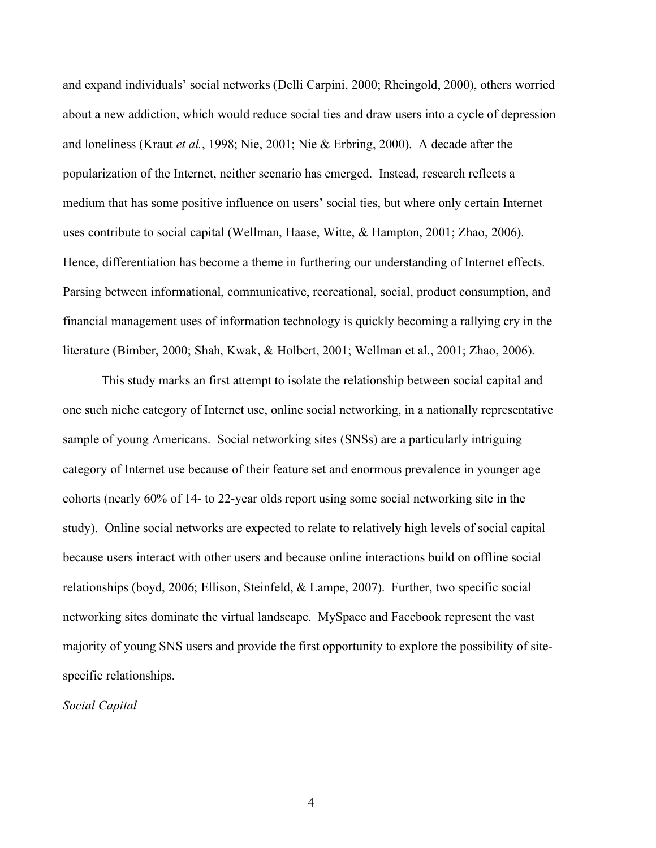and expand individuals' social networks (Delli Carpini, 2000; Rheingold, 2000), others worried about a new addiction, which would reduce social ties and draw users into a cycle of depression and loneliness (Kraut *et al.*, 1998; Nie, 2001; Nie & Erbring, 2000). A decade after the popularization of the Internet, neither scenario has emerged. Instead, research reflects a medium that has some positive influence on users' social ties, but where only certain Internet uses contribute to social capital (Wellman, Haase, Witte, & Hampton, 2001; Zhao, 2006). Hence, differentiation has become a theme in furthering our understanding of Internet effects. Parsing between informational, communicative, recreational, social, product consumption, and financial management uses of information technology is quickly becoming a rallying cry in the literature (Bimber, 2000; Shah, Kwak, & Holbert, 2001; Wellman et al., 2001; Zhao, 2006).

This study marks an first attempt to isolate the relationship between social capital and one such niche category of Internet use, online social networking, in a nationally representative sample of young Americans. Social networking sites (SNSs) are a particularly intriguing category of Internet use because of their feature set and enormous prevalence in younger age cohorts (nearly 60% of 14- to 22-year olds report using some social networking site in the study). Online social networks are expected to relate to relatively high levels of social capital because users interact with other users and because online interactions build on offline social relationships (boyd, 2006; Ellison, Steinfeld, & Lampe, 2007). Further, two specific social networking sites dominate the virtual landscape. MySpace and Facebook represent the vast majority of young SNS users and provide the first opportunity to explore the possibility of sitespecific relationships.

*Social Capital*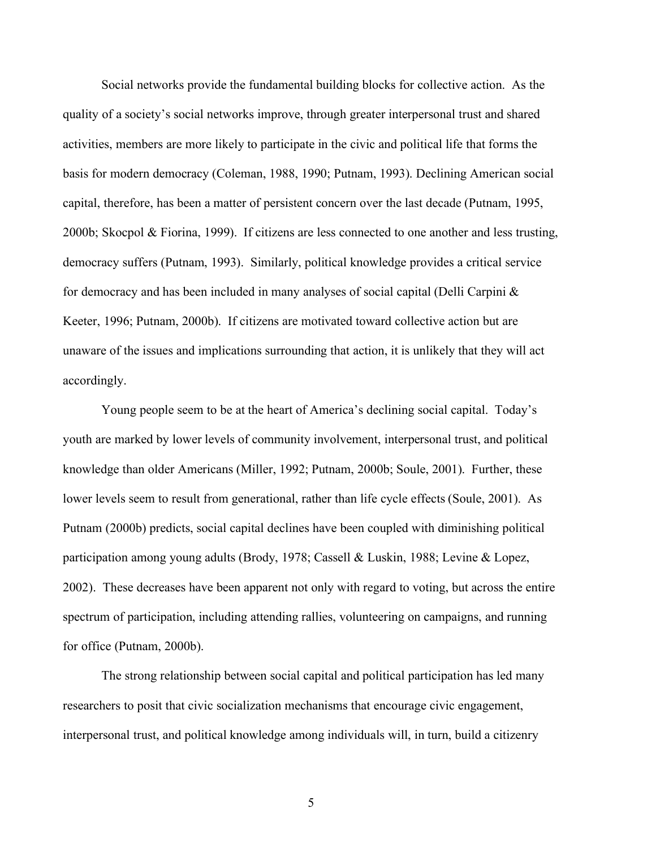Social networks provide the fundamental building blocks for collective action. As the quality of a society's social networks improve, through greater interpersonal trust and shared activities, members are more likely to participate in the civic and political life that forms the basis for modern democracy (Coleman, 1988, 1990; Putnam, 1993). Declining American social capital, therefore, has been a matter of persistent concern over the last decade (Putnam, 1995, 2000b; Skocpol & Fiorina, 1999). If citizens are less connected to one another and less trusting, democracy suffers (Putnam, 1993). Similarly, political knowledge provides a critical service for democracy and has been included in many analyses of social capital (Delli Carpini & Keeter, 1996; Putnam, 2000b). If citizens are motivated toward collective action but are unaware of the issues and implications surrounding that action, it is unlikely that they will act accordingly.

Young people seem to be at the heart of America's declining social capital. Today's youth are marked by lower levels of community involvement, interpersonal trust, and political knowledge than older Americans (Miller, 1992; Putnam, 2000b; Soule, 2001). Further, these lower levels seem to result from generational, rather than life cycle effects (Soule, 2001). As Putnam (2000b) predicts, social capital declines have been coupled with diminishing political participation among young adults (Brody, 1978; Cassell & Luskin, 1988; Levine & Lopez, 2002). These decreases have been apparent not only with regard to voting, but across the entire spectrum of participation, including attending rallies, volunteering on campaigns, and running for office (Putnam, 2000b).

The strong relationship between social capital and political participation has led many researchers to posit that civic socialization mechanisms that encourage civic engagement, interpersonal trust, and political knowledge among individuals will, in turn, build a citizenry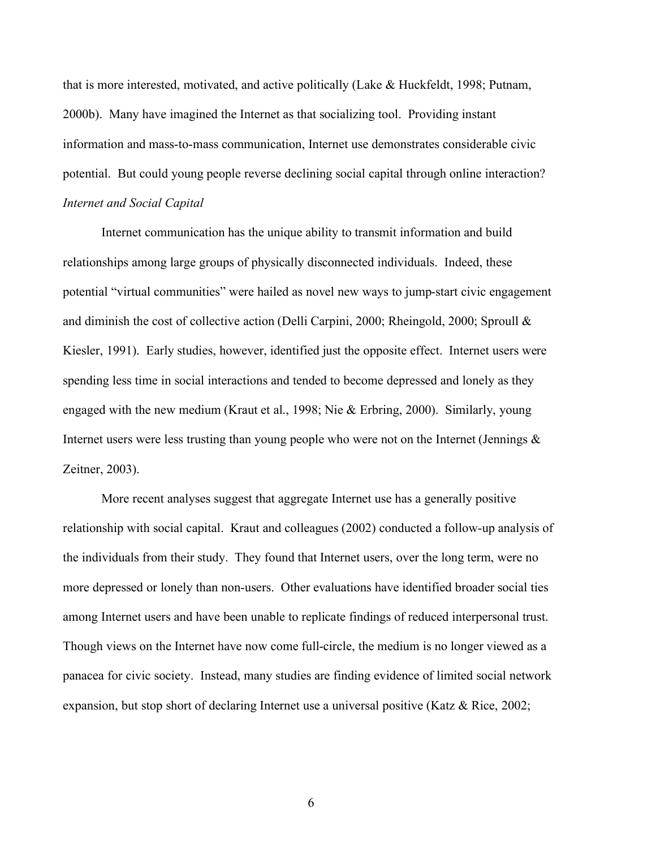that is more interested, motivated, and active politically (Lake & Huckfeldt, 1998; Putnam, 2000b). Many have imagined the Internet as that socializing tool. Providing instant information and mass-to-mass communication, Internet use demonstrates considerable civic potential. But could young people reverse declining social capital through online interaction? *Internet and Social Capital*

Internet communication has the unique ability to transmit information and build relationships among large groups of physically disconnected individuals. Indeed, these potential "virtual communities" were hailed as novel new ways to jump-start civic engagement and diminish the cost of collective action (Delli Carpini, 2000; Rheingold, 2000; Sproull & Kiesler, 1991). Early studies, however, identified just the opposite effect. Internet users were spending less time in social interactions and tended to become depressed and lonely as they engaged with the new medium (Kraut et al., 1998; Nie & Erbring, 2000). Similarly, young Internet users were less trusting than young people who were not on the Internet (Jennings  $\&$ Zeitner, 2003).

More recent analyses suggest that aggregate Internet use has a generally positive relationship with social capital. Kraut and colleagues (2002) conducted a follow-up analysis of the individuals from their study. They found that Internet users, over the long term, were no more depressed or lonely than non-users. Other evaluations have identified broader social ties among Internet users and have been unable to replicate findings of reduced interpersonal trust. Though views on the Internet have now come full-circle, the medium is no longer viewed as a panacea for civic society. Instead, many studies are finding evidence of limited social network expansion, but stop short of declaring Internet use a universal positive (Katz & Rice, 2002;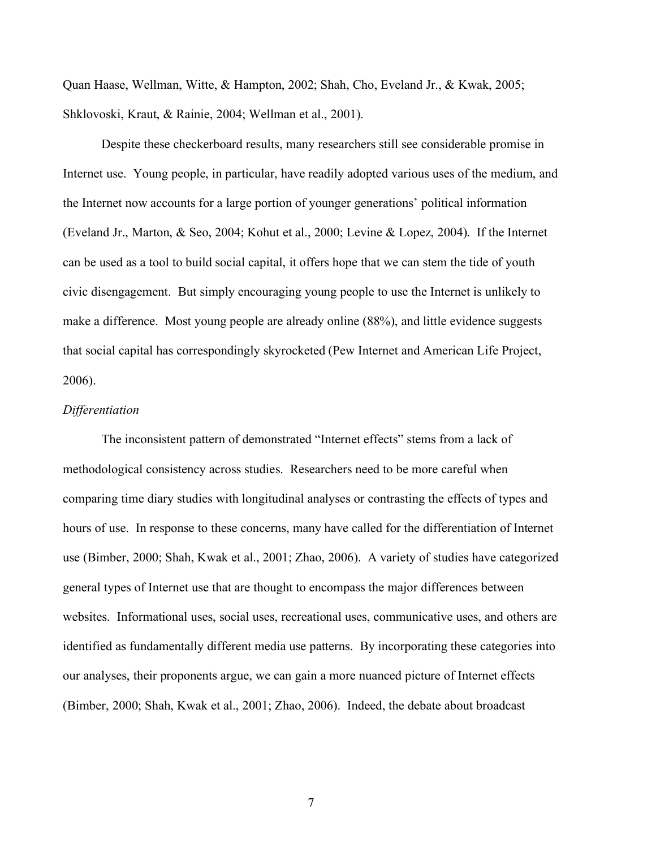Quan Haase, Wellman, Witte, & Hampton, 2002; Shah, Cho, Eveland Jr., & Kwak, 2005; Shklovoski, Kraut, & Rainie, 2004; Wellman et al., 2001).

Despite these checkerboard results, many researchers still see considerable promise in Internet use. Young people, in particular, have readily adopted various uses of the medium, and the Internet now accounts for a large portion of younger generations' political information (Eveland Jr., Marton, & Seo, 2004; Kohut et al., 2000; Levine & Lopez, 2004). If the Internet can be used as a tool to build social capital, it offers hope that we can stem the tide of youth civic disengagement. But simply encouraging young people to use the Internet is unlikely to make a difference. Most young people are already online (88%), and little evidence suggests that social capital has correspondingly skyrocketed (Pew Internet and American Life Project, 2006).

#### *Differentiation*

The inconsistent pattern of demonstrated "Internet effects" stems from a lack of methodological consistency across studies. Researchers need to be more careful when comparing time diary studies with longitudinal analyses or contrasting the effects of types and hours of use. In response to these concerns, many have called for the differentiation of Internet use (Bimber, 2000; Shah, Kwak et al., 2001; Zhao, 2006). A variety of studies have categorized general types of Internet use that are thought to encompass the major differences between websites. Informational uses, social uses, recreational uses, communicative uses, and others are identified as fundamentally different media use patterns. By incorporating these categories into our analyses, their proponents argue, we can gain a more nuanced picture of Internet effects (Bimber, 2000; Shah, Kwak et al., 2001; Zhao, 2006). Indeed, the debate about broadcast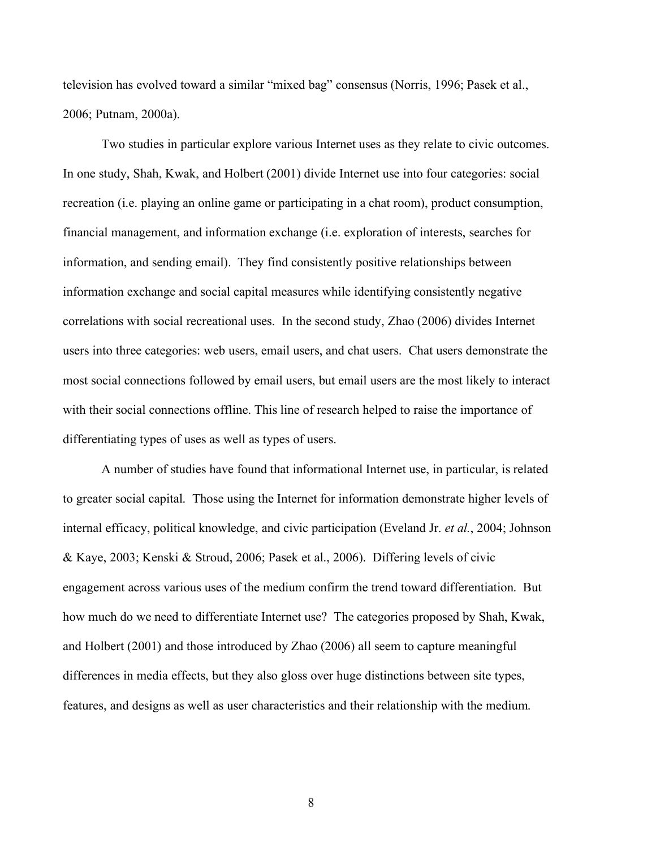television has evolved toward a similar "mixed bag" consensus (Norris, 1996; Pasek et al., 2006; Putnam, 2000a).

Two studies in particular explore various Internet uses as they relate to civic outcomes. In one study, Shah, Kwak, and Holbert (2001) divide Internet use into four categories: social recreation (i.e. playing an online game or participating in a chat room), product consumption, financial management, and information exchange (i.e. exploration of interests, searches for information, and sending email). They find consistently positive relationships between information exchange and social capital measures while identifying consistently negative correlations with social recreational uses. In the second study, Zhao (2006) divides Internet users into three categories: web users, email users, and chat users. Chat users demonstrate the most social connections followed by email users, but email users are the most likely to interact with their social connections offline. This line of research helped to raise the importance of differentiating types of uses as well as types of users.

A number of studies have found that informational Internet use, in particular, is related to greater social capital. Those using the Internet for information demonstrate higher levels of internal efficacy, political knowledge, and civic participation (Eveland Jr. *et al.*, 2004; Johnson & Kaye, 2003; Kenski & Stroud, 2006; Pasek et al., 2006). Differing levels of civic engagement across various uses of the medium confirm the trend toward differentiation. But how much do we need to differentiate Internet use? The categories proposed by Shah, Kwak, and Holbert (2001) and those introduced by Zhao (2006) all seem to capture meaningful differences in media effects, but they also gloss over huge distinctions between site types, features, and designs as well as user characteristics and their relationship with the medium.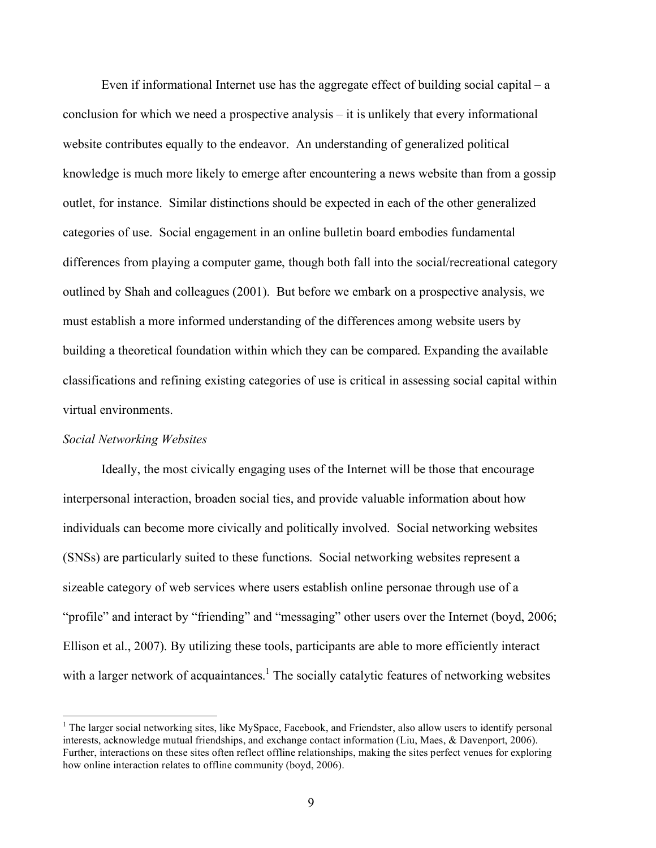Even if informational Internet use has the aggregate effect of building social capital – a conclusion for which we need a prospective analysis – it is unlikely that every informational website contributes equally to the endeavor. An understanding of generalized political knowledge is much more likely to emerge after encountering a news website than from a gossip outlet, for instance. Similar distinctions should be expected in each of the other generalized categories of use. Social engagement in an online bulletin board embodies fundamental differences from playing a computer game, though both fall into the social/recreational category outlined by Shah and colleagues (2001). But before we embark on a prospective analysis, we must establish a more informed understanding of the differences among website users by building a theoretical foundation within which they can be compared. Expanding the available classifications and refining existing categories of use is critical in assessing social capital within virtual environments.

#### *Social Networking Websites*

Ideally, the most civically engaging uses of the Internet will be those that encourage interpersonal interaction, broaden social ties, and provide valuable information about how individuals can become more civically and politically involved. Social networking websites (SNSs) are particularly suited to these functions. Social networking websites represent a sizeable category of web services where users establish online personae through use of a "profile" and interact by "friending" and "messaging" other users over the Internet (boyd, 2006; Ellison et al., 2007). By utilizing these tools, participants are able to more efficiently interact with a larger network of acquaintances.<sup>1</sup> The socially catalytic features of networking websites

 $\frac{1}{1}$ <sup>1</sup> The larger social networking sites, like MySpace, Facebook, and Friendster, also allow users to identify personal interests, acknowledge mutual friendships, and exchange contact information (Liu, Maes, & Davenport, 2006). Further, interactions on these sites often reflect offline relationships, making the sites perfect venues for exploring how online interaction relates to offline community (boyd, 2006).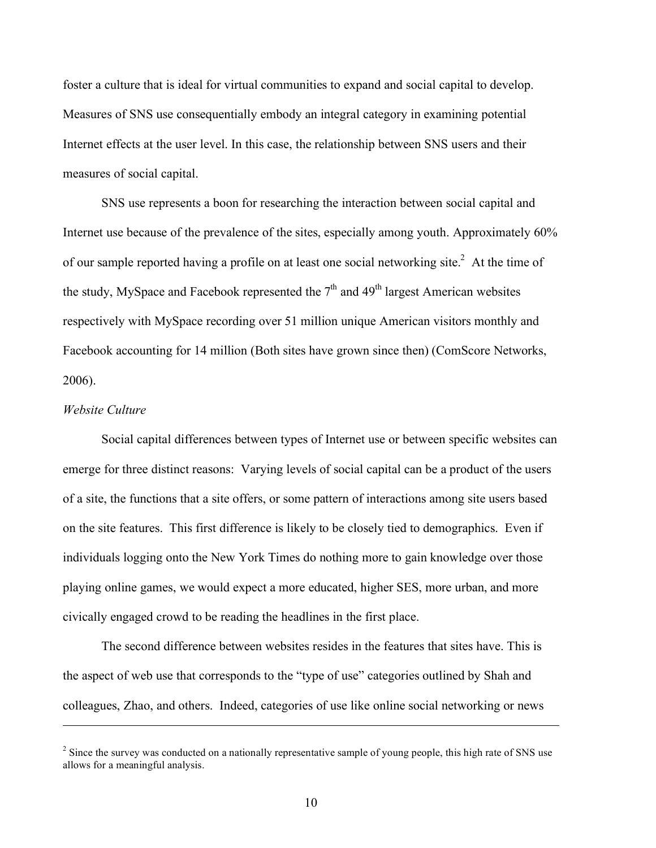foster a culture that is ideal for virtual communities to expand and social capital to develop. Measures of SNS use consequentially embody an integral category in examining potential Internet effects at the user level. In this case, the relationship between SNS users and their measures of social capital.

SNS use represents a boon for researching the interaction between social capital and Internet use because of the prevalence of the sites, especially among youth. Approximately 60% of our sample reported having a profile on at least one social networking site.<sup>2</sup> At the time of the study, MySpace and Facebook represented the  $7<sup>th</sup>$  and  $49<sup>th</sup>$  largest American websites respectively with MySpace recording over 51 million unique American visitors monthly and Facebook accounting for 14 million (Both sites have grown since then) (ComScore Networks, 2006).

#### *Website Culture*

 $\overline{a}$ 

Social capital differences between types of Internet use or between specific websites can emerge for three distinct reasons: Varying levels of social capital can be a product of the users of a site, the functions that a site offers, or some pattern of interactions among site users based on the site features. This first difference is likely to be closely tied to demographics. Even if individuals logging onto the New York Times do nothing more to gain knowledge over those playing online games, we would expect a more educated, higher SES, more urban, and more civically engaged crowd to be reading the headlines in the first place.

The second difference between websites resides in the features that sites have. This is the aspect of web use that corresponds to the "type of use" categories outlined by Shah and colleagues, Zhao, and others. Indeed, categories of use like online social networking or news

 $2^2$  Since the survey was conducted on a nationally representative sample of young people, this high rate of SNS use allows for a meaningful analysis.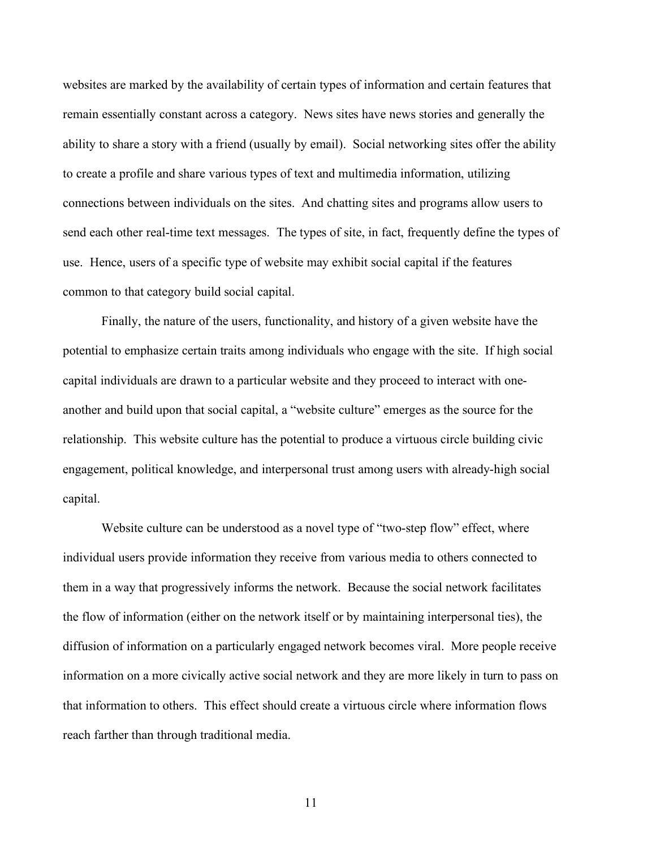websites are marked by the availability of certain types of information and certain features that remain essentially constant across a category. News sites have news stories and generally the ability to share a story with a friend (usually by email). Social networking sites offer the ability to create a profile and share various types of text and multimedia information, utilizing connections between individuals on the sites. And chatting sites and programs allow users to send each other real-time text messages. The types of site, in fact, frequently define the types of use. Hence, users of a specific type of website may exhibit social capital if the features common to that category build social capital.

Finally, the nature of the users, functionality, and history of a given website have the potential to emphasize certain traits among individuals who engage with the site. If high social capital individuals are drawn to a particular website and they proceed to interact with oneanother and build upon that social capital, a "website culture" emerges as the source for the relationship. This website culture has the potential to produce a virtuous circle building civic engagement, political knowledge, and interpersonal trust among users with already-high social capital.

Website culture can be understood as a novel type of "two-step flow" effect, where individual users provide information they receive from various media to others connected to them in a way that progressively informs the network. Because the social network facilitates the flow of information (either on the network itself or by maintaining interpersonal ties), the diffusion of information on a particularly engaged network becomes viral. More people receive information on a more civically active social network and they are more likely in turn to pass on that information to others. This effect should create a virtuous circle where information flows reach farther than through traditional media.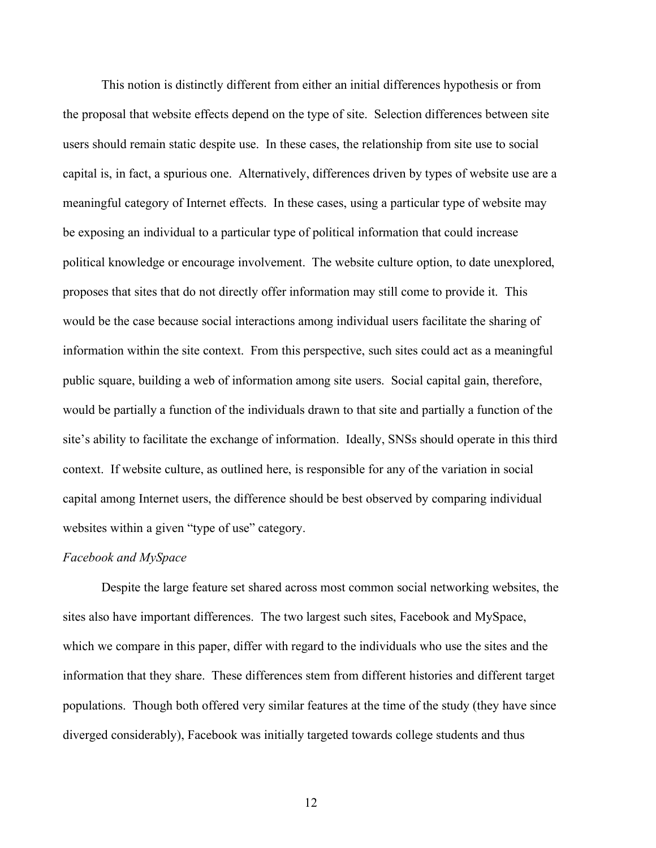This notion is distinctly different from either an initial differences hypothesis or from the proposal that website effects depend on the type of site. Selection differences between site users should remain static despite use. In these cases, the relationship from site use to social capital is, in fact, a spurious one. Alternatively, differences driven by types of website use are a meaningful category of Internet effects. In these cases, using a particular type of website may be exposing an individual to a particular type of political information that could increase political knowledge or encourage involvement. The website culture option, to date unexplored, proposes that sites that do not directly offer information may still come to provide it. This would be the case because social interactions among individual users facilitate the sharing of information within the site context. From this perspective, such sites could act as a meaningful public square, building a web of information among site users. Social capital gain, therefore, would be partially a function of the individuals drawn to that site and partially a function of the site's ability to facilitate the exchange of information. Ideally, SNSs should operate in this third context. If website culture, as outlined here, is responsible for any of the variation in social capital among Internet users, the difference should be best observed by comparing individual websites within a given "type of use" category.

#### *Facebook and MySpace*

Despite the large feature set shared across most common social networking websites, the sites also have important differences. The two largest such sites, Facebook and MySpace, which we compare in this paper, differ with regard to the individuals who use the sites and the information that they share. These differences stem from different histories and different target populations. Though both offered very similar features at the time of the study (they have since diverged considerably), Facebook was initially targeted towards college students and thus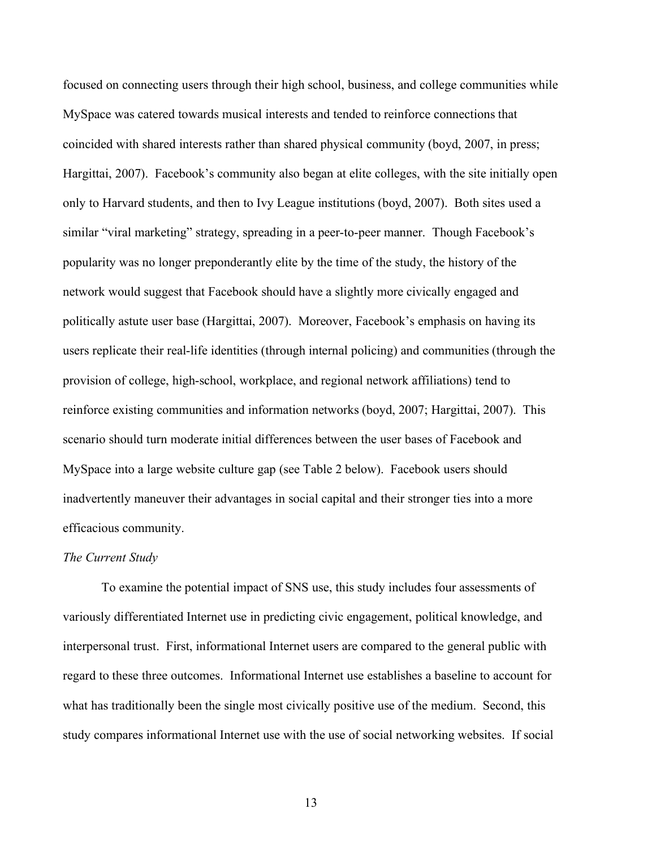focused on connecting users through their high school, business, and college communities while MySpace was catered towards musical interests and tended to reinforce connections that coincided with shared interests rather than shared physical community (boyd, 2007, in press; Hargittai, 2007). Facebook's community also began at elite colleges, with the site initially open only to Harvard students, and then to Ivy League institutions (boyd, 2007). Both sites used a similar "viral marketing" strategy, spreading in a peer-to-peer manner. Though Facebook's popularity was no longer preponderantly elite by the time of the study, the history of the network would suggest that Facebook should have a slightly more civically engaged and politically astute user base (Hargittai, 2007). Moreover, Facebook's emphasis on having its users replicate their real-life identities (through internal policing) and communities (through the provision of college, high-school, workplace, and regional network affiliations) tend to reinforce existing communities and information networks (boyd, 2007; Hargittai, 2007). This scenario should turn moderate initial differences between the user bases of Facebook and MySpace into a large website culture gap (see Table 2 below). Facebook users should inadvertently maneuver their advantages in social capital and their stronger ties into a more efficacious community.

#### *The Current Study*

To examine the potential impact of SNS use, this study includes four assessments of variously differentiated Internet use in predicting civic engagement, political knowledge, and interpersonal trust. First, informational Internet users are compared to the general public with regard to these three outcomes. Informational Internet use establishes a baseline to account for what has traditionally been the single most civically positive use of the medium. Second, this study compares informational Internet use with the use of social networking websites. If social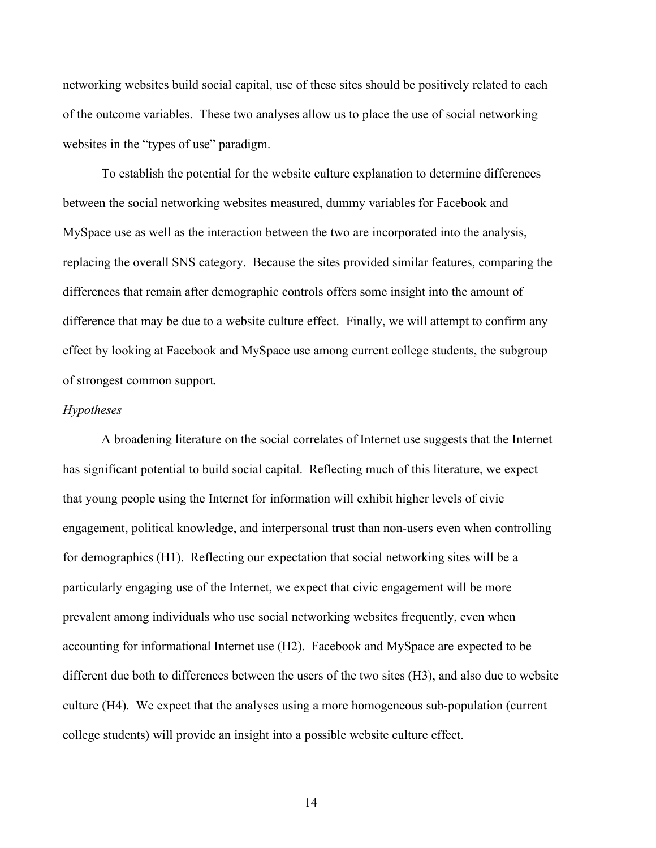networking websites build social capital, use of these sites should be positively related to each of the outcome variables. These two analyses allow us to place the use of social networking websites in the "types of use" paradigm.

To establish the potential for the website culture explanation to determine differences between the social networking websites measured, dummy variables for Facebook and MySpace use as well as the interaction between the two are incorporated into the analysis, replacing the overall SNS category. Because the sites provided similar features, comparing the differences that remain after demographic controls offers some insight into the amount of difference that may be due to a website culture effect. Finally, we will attempt to confirm any effect by looking at Facebook and MySpace use among current college students, the subgroup of strongest common support.

#### *Hypotheses*

A broadening literature on the social correlates of Internet use suggests that the Internet has significant potential to build social capital. Reflecting much of this literature, we expect that young people using the Internet for information will exhibit higher levels of civic engagement, political knowledge, and interpersonal trust than non-users even when controlling for demographics (H1). Reflecting our expectation that social networking sites will be a particularly engaging use of the Internet, we expect that civic engagement will be more prevalent among individuals who use social networking websites frequently, even when accounting for informational Internet use (H2). Facebook and MySpace are expected to be different due both to differences between the users of the two sites (H3), and also due to website culture (H4). We expect that the analyses using a more homogeneous sub-population (current college students) will provide an insight into a possible website culture effect.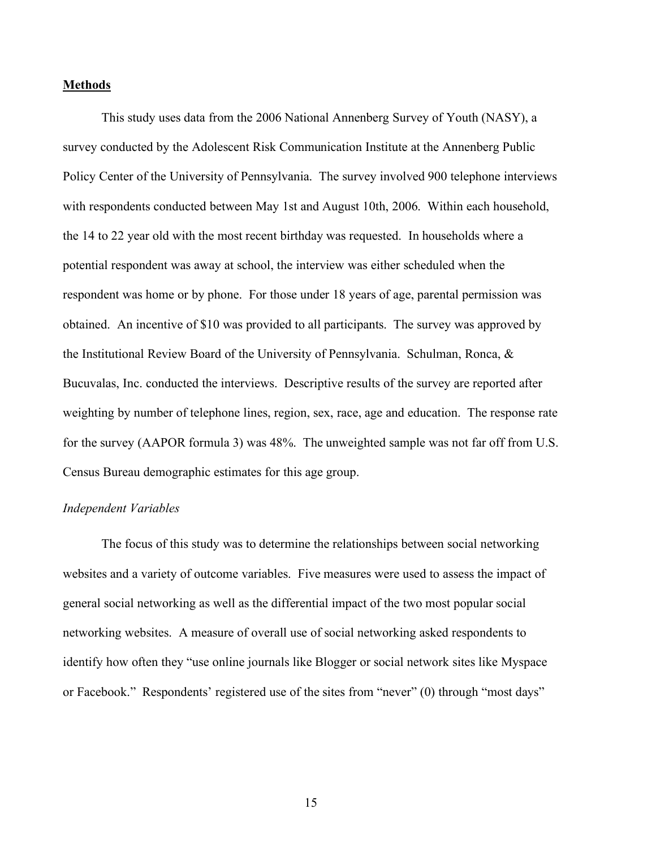#### **Methods**

This study uses data from the 2006 National Annenberg Survey of Youth (NASY), a survey conducted by the Adolescent Risk Communication Institute at the Annenberg Public Policy Center of the University of Pennsylvania. The survey involved 900 telephone interviews with respondents conducted between May 1st and August 10th, 2006. Within each household, the 14 to 22 year old with the most recent birthday was requested. In households where a potential respondent was away at school, the interview was either scheduled when the respondent was home or by phone. For those under 18 years of age, parental permission was obtained. An incentive of \$10 was provided to all participants. The survey was approved by the Institutional Review Board of the University of Pennsylvania. Schulman, Ronca, & Bucuvalas, Inc. conducted the interviews. Descriptive results of the survey are reported after weighting by number of telephone lines, region, sex, race, age and education. The response rate for the survey (AAPOR formula 3) was 48%. The unweighted sample was not far off from U.S. Census Bureau demographic estimates for this age group.

#### *Independent Variables*

The focus of this study was to determine the relationships between social networking websites and a variety of outcome variables. Five measures were used to assess the impact of general social networking as well as the differential impact of the two most popular social networking websites. A measure of overall use of social networking asked respondents to identify how often they "use online journals like Blogger or social network sites like Myspace or Facebook." Respondents' registered use of the sites from "never" (0) through "most days"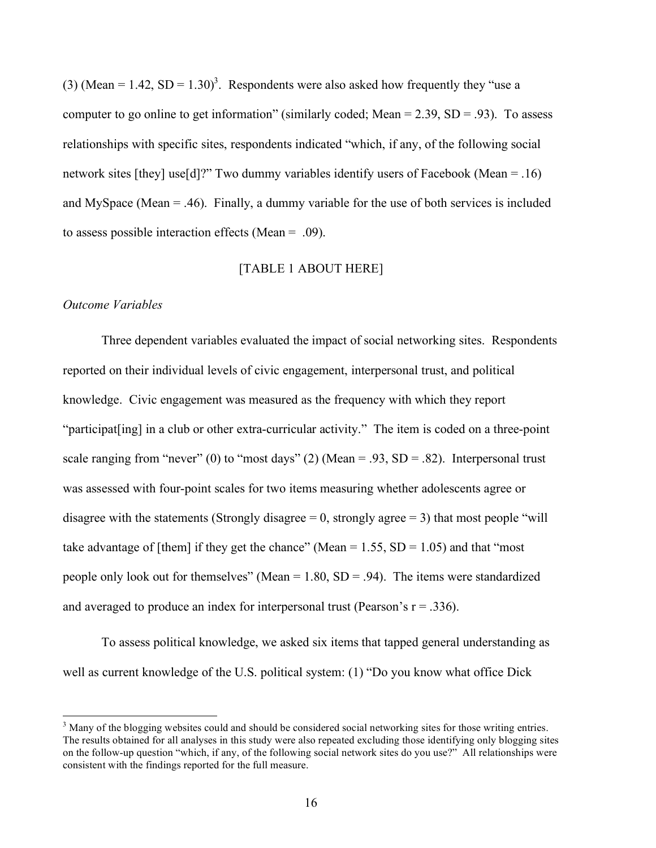(3) (Mean = 1.42, SD = 1.30)<sup>3</sup>. Respondents were also asked how frequently they "use a computer to go online to get information" (similarly coded; Mean =  $2.39$ , SD =  $.93$ ). To assess relationships with specific sites, respondents indicated "which, if any, of the following social network sites [they] use[d]?" Two dummy variables identify users of Facebook (Mean = .16) and MySpace (Mean  $=$  .46). Finally, a dummy variable for the use of both services is included to assess possible interaction effects (Mean = .09).

#### [TABLE 1 ABOUT HERE]

#### *Outcome Variables*

Three dependent variables evaluated the impact of social networking sites. Respondents reported on their individual levels of civic engagement, interpersonal trust, and political knowledge. Civic engagement was measured as the frequency with which they report "participat[ing] in a club or other extra-curricular activity." The item is coded on a three-point scale ranging from "never" (0) to "most days" (2) (Mean = .93,  $SD = .82$ ). Interpersonal trust was assessed with four-point scales for two items measuring whether adolescents agree or disagree with the statements (Strongly disagree  $= 0$ , strongly agree  $= 3$ ) that most people "will take advantage of [them] if they get the chance" (Mean =  $1.55$ , SD =  $1.05$ ) and that "most people only look out for themselves" (Mean =  $1.80$ , SD = .94). The items were standardized and averaged to produce an index for interpersonal trust (Pearson's  $r = .336$ ).

To assess political knowledge, we asked six items that tapped general understanding as well as current knowledge of the U.S. political system: (1) "Do you know what office Dick

 $\frac{1}{3}$ <sup>3</sup> Many of the blogging websites could and should be considered social networking sites for those writing entries. The results obtained for all analyses in this study were also repeated excluding those identifying only blogging sites on the follow-up question "which, if any, of the following social network sites do you use?" All relationships were consistent with the findings reported for the full measure.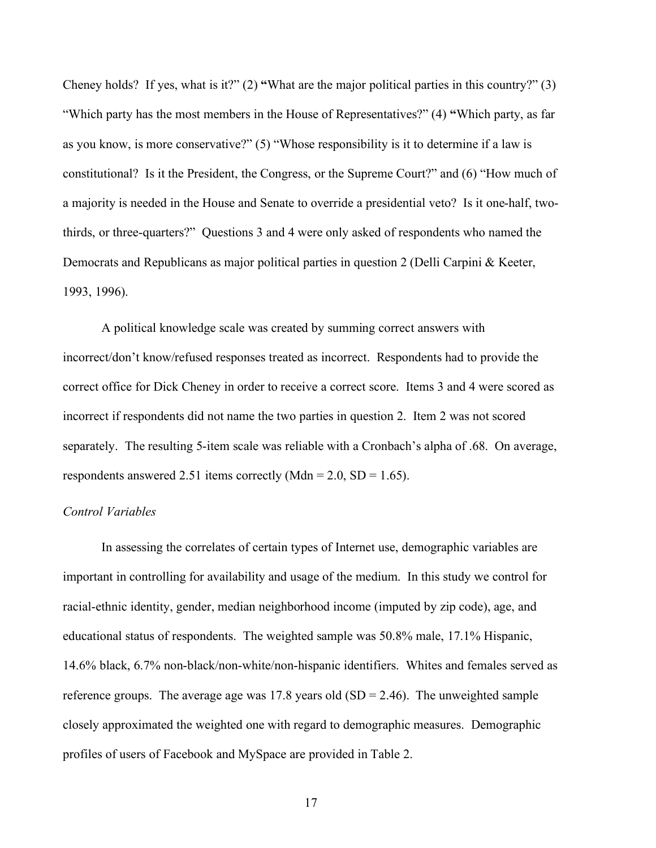Cheney holds? If yes, what is it?" (2) **"**What are the major political parties in this country?" (3) "Which party has the most members in the House of Representatives?" (4) **"**Which party, as far as you know, is more conservative?" (5) "Whose responsibility is it to determine if a law is constitutional? Is it the President, the Congress, or the Supreme Court?" and (6) "How much of a majority is needed in the House and Senate to override a presidential veto? Is it one-half, twothirds, or three-quarters?" Questions 3 and 4 were only asked of respondents who named the Democrats and Republicans as major political parties in question 2 (Delli Carpini & Keeter, 1993, 1996).

A political knowledge scale was created by summing correct answers with incorrect/don't know/refused responses treated as incorrect. Respondents had to provide the correct office for Dick Cheney in order to receive a correct score. Items 3 and 4 were scored as incorrect if respondents did not name the two parties in question 2. Item 2 was not scored separately. The resulting 5-item scale was reliable with a Cronbach's alpha of .68. On average, respondents answered 2.51 items correctly (Mdn = 2.0, SD = 1.65).

#### *Control Variables*

In assessing the correlates of certain types of Internet use, demographic variables are important in controlling for availability and usage of the medium. In this study we control for racial-ethnic identity, gender, median neighborhood income (imputed by zip code), age, and educational status of respondents. The weighted sample was 50.8% male, 17.1% Hispanic, 14.6% black, 6.7% non-black/non-white/non-hispanic identifiers. Whites and females served as reference groups. The average age was 17.8 years old  $(SD = 2.46)$ . The unweighted sample closely approximated the weighted one with regard to demographic measures. Demographic profiles of users of Facebook and MySpace are provided in Table 2.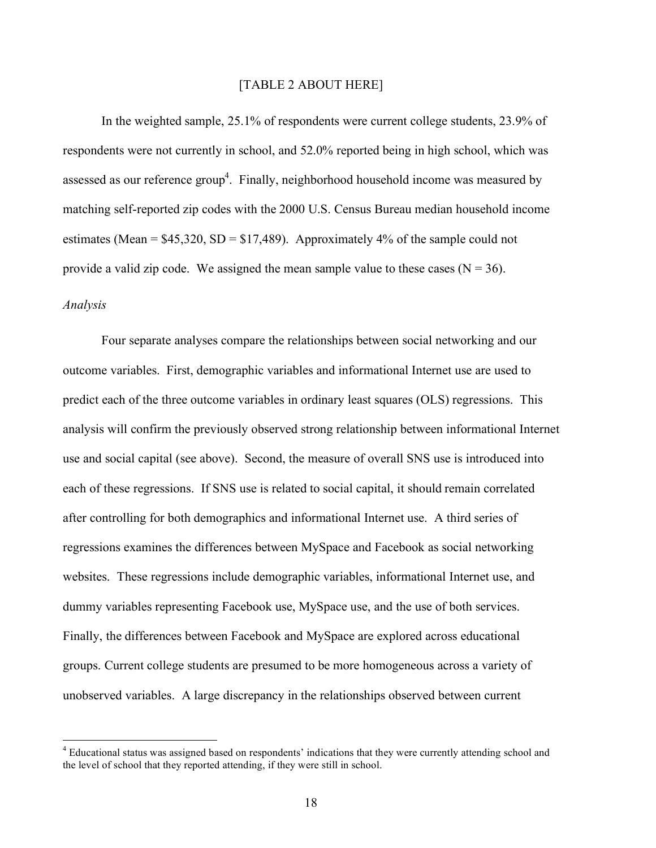#### [TABLE 2 ABOUT HERE]

In the weighted sample, 25.1% of respondents were current college students, 23.9% of respondents were not currently in school, and 52.0% reported being in high school, which was assessed as our reference group<sup>4</sup>. Finally, neighborhood household income was measured by matching self-reported zip codes with the 2000 U.S. Census Bureau median household income estimates (Mean =  $$45,320, SD = $17,489$ ). Approximately 4% of the sample could not provide a valid zip code. We assigned the mean sample value to these cases  $(N = 36)$ . *Analysis*

Four separate analyses compare the relationships between social networking and our outcome variables. First, demographic variables and informational Internet use are used to predict each of the three outcome variables in ordinary least squares (OLS) regressions. This analysis will confirm the previously observed strong relationship between informational Internet use and social capital (see above). Second, the measure of overall SNS use is introduced into each of these regressions. If SNS use is related to social capital, it should remain correlated after controlling for both demographics and informational Internet use. A third series of regressions examines the differences between MySpace and Facebook as social networking websites. These regressions include demographic variables, informational Internet use, and dummy variables representing Facebook use, MySpace use, and the use of both services. Finally, the differences between Facebook and MySpace are explored across educational groups. Current college students are presumed to be more homogeneous across a variety of unobserved variables. A large discrepancy in the relationships observed between current

 $\frac{1}{4}$ <sup>4</sup> Educational status was assigned based on respondents' indications that they were currently attending school and the level of school that they reported attending, if they were still in school.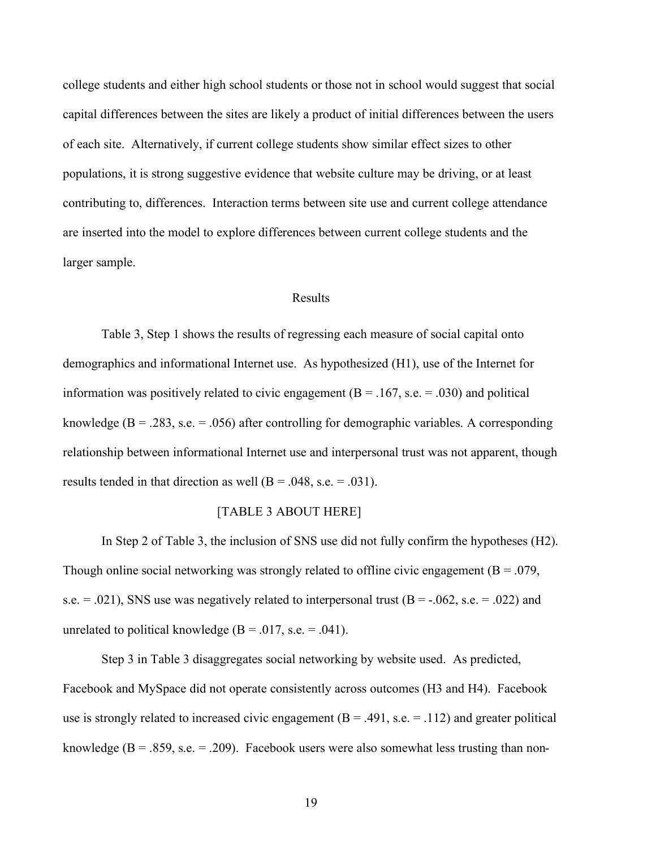college students and either high school students or those not in school would suggest that social capital differences between the sites are likely a product of initial differences between the users of each site. Alternatively, if current college students show similar effect sizes to other populations, it is strong suggestive evidence that website culture may be driving, or at least contributing to, differences. Interaction terms between site use and current college attendance are inserted into the model to explore differences between current college students and the larger sample.

#### Results

Table 3, Step 1 shows the results of regressing each measure of social capital onto demographics and informational Internet use. As hypothesized (H1), use of the Internet for information was positively related to civic engagement ( $B = .167$ , s.e. = .030) and political knowledge ( $B = .283$ , s.e. = .056) after controlling for demographic variables. A corresponding relationship between informational Internet use and interpersonal trust was not apparent, though results tended in that direction as well  $(B = .048, s.e. = .031)$ .

#### [TABLE 3 ABOUT HERE]

In Step 2 of Table 3, the inclusion of SNS use did not fully confirm the hypotheses (H2). Though online social networking was strongly related to offline civic engagement  $(B = .079)$ , s.e.  $= .021$ ), SNS use was negatively related to interpersonal trust (B = -.062, s.e.  $= .022$ ) and unrelated to political knowledge ( $B = .017$ , s.e. = .041).

Step 3 in Table 3 disaggregates social networking by website used. As predicted, Facebook and MySpace did not operate consistently across outcomes (H3 and H4). Facebook use is strongly related to increased civic engagement  $(B = .491, s.e. = .112)$  and greater political knowledge ( $B = .859$ , s.e. = .209). Facebook users were also somewhat less trusting than non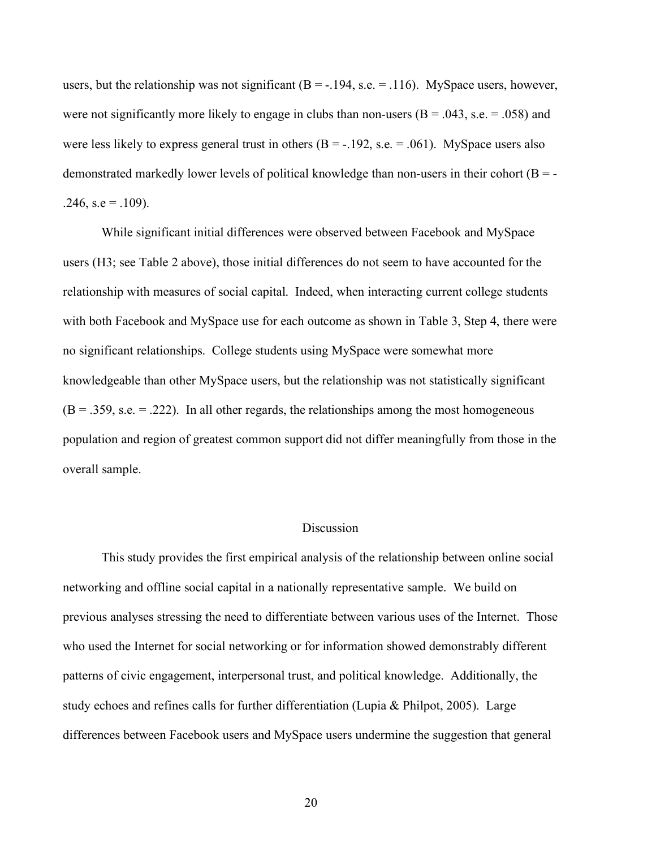users, but the relationship was not significant  $(B = -194, s.e. = 116)$ . MySpace users, however, were not significantly more likely to engage in clubs than non-users  $(B = .043, s.e. = .058)$  and were less likely to express general trust in others  $(B = -192, s.e. = 0.061)$ . MySpace users also demonstrated markedly lower levels of political knowledge than non-users in their cohort  $(B = -1)$  $.246$ , s.e =  $.109$ ).

While significant initial differences were observed between Facebook and MySpace users (H3; see Table 2 above), those initial differences do not seem to have accounted for the relationship with measures of social capital. Indeed, when interacting current college students with both Facebook and MySpace use for each outcome as shown in Table 3, Step 4, there were no significant relationships. College students using MySpace were somewhat more knowledgeable than other MySpace users, but the relationship was not statistically significant  $(B = .359, s.e. = .222)$ . In all other regards, the relationships among the most homogeneous population and region of greatest common support did not differ meaningfully from those in the overall sample.

#### Discussion

This study provides the first empirical analysis of the relationship between online social networking and offline social capital in a nationally representative sample. We build on previous analyses stressing the need to differentiate between various uses of the Internet. Those who used the Internet for social networking or for information showed demonstrably different patterns of civic engagement, interpersonal trust, and political knowledge. Additionally, the study echoes and refines calls for further differentiation (Lupia & Philpot, 2005). Large differences between Facebook users and MySpace users undermine the suggestion that general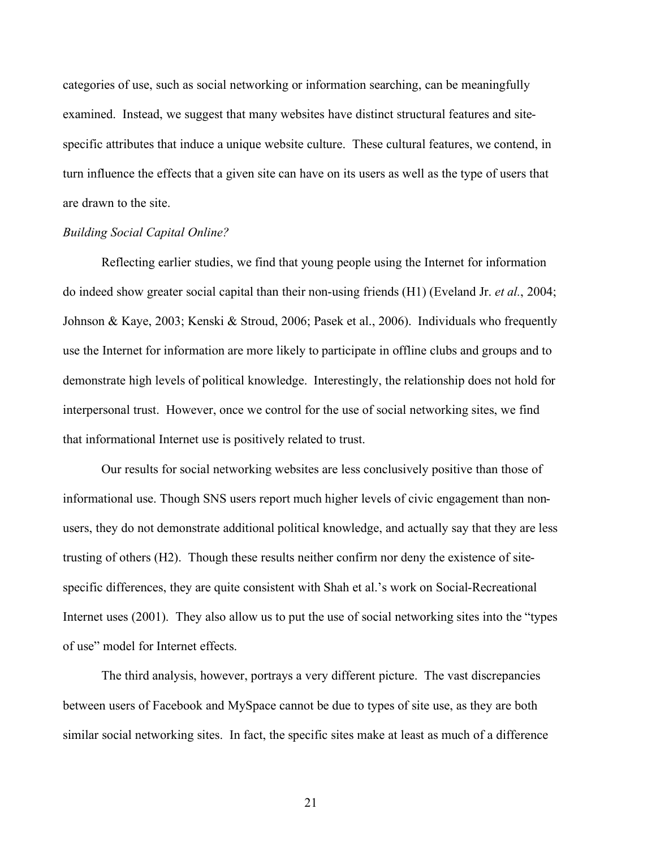categories of use, such as social networking or information searching, can be meaningfully examined. Instead, we suggest that many websites have distinct structural features and sitespecific attributes that induce a unique website culture. These cultural features, we contend, in turn influence the effects that a given site can have on its users as well as the type of users that are drawn to the site.

#### *Building Social Capital Online?*

Reflecting earlier studies, we find that young people using the Internet for information do indeed show greater social capital than their non-using friends (H1) (Eveland Jr. *et al.*, 2004; Johnson & Kaye, 2003; Kenski & Stroud, 2006; Pasek et al., 2006). Individuals who frequently use the Internet for information are more likely to participate in offline clubs and groups and to demonstrate high levels of political knowledge. Interestingly, the relationship does not hold for interpersonal trust. However, once we control for the use of social networking sites, we find that informational Internet use is positively related to trust.

Our results for social networking websites are less conclusively positive than those of informational use. Though SNS users report much higher levels of civic engagement than nonusers, they do not demonstrate additional political knowledge, and actually say that they are less trusting of others (H2). Though these results neither confirm nor deny the existence of sitespecific differences, they are quite consistent with Shah et al.'s work on Social-Recreational Internet uses (2001). They also allow us to put the use of social networking sites into the "types of use" model for Internet effects.

The third analysis, however, portrays a very different picture. The vast discrepancies between users of Facebook and MySpace cannot be due to types of site use, as they are both similar social networking sites. In fact, the specific sites make at least as much of a difference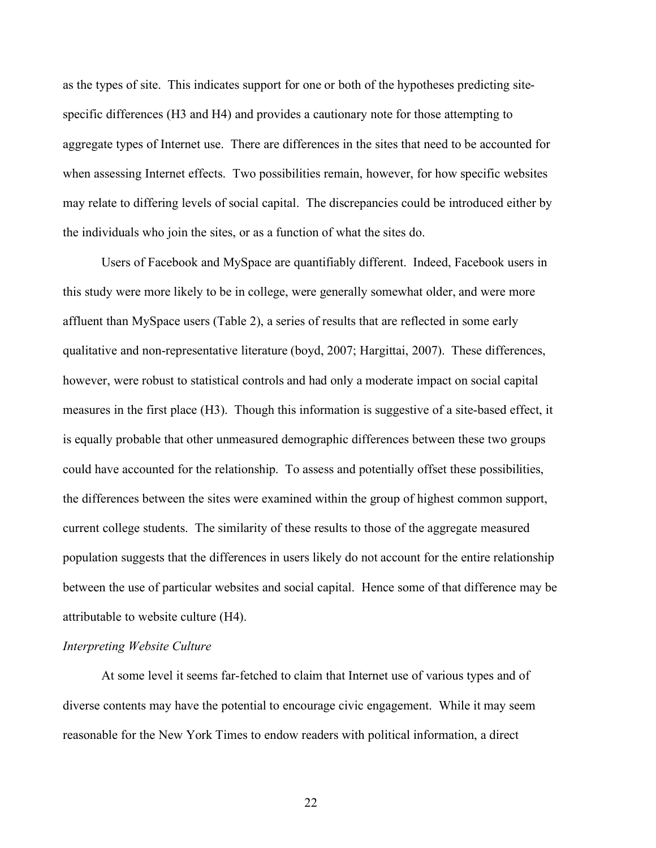as the types of site. This indicates support for one or both of the hypotheses predicting sitespecific differences (H3 and H4) and provides a cautionary note for those attempting to aggregate types of Internet use. There are differences in the sites that need to be accounted for when assessing Internet effects. Two possibilities remain, however, for how specific websites may relate to differing levels of social capital. The discrepancies could be introduced either by the individuals who join the sites, or as a function of what the sites do.

Users of Facebook and MySpace are quantifiably different. Indeed, Facebook users in this study were more likely to be in college, were generally somewhat older, and were more affluent than MySpace users (Table 2), a series of results that are reflected in some early qualitative and non-representative literature (boyd, 2007; Hargittai, 2007). These differences, however, were robust to statistical controls and had only a moderate impact on social capital measures in the first place (H3). Though this information is suggestive of a site-based effect, it is equally probable that other unmeasured demographic differences between these two groups could have accounted for the relationship. To assess and potentially offset these possibilities, the differences between the sites were examined within the group of highest common support, current college students. The similarity of these results to those of the aggregate measured population suggests that the differences in users likely do not account for the entire relationship between the use of particular websites and social capital. Hence some of that difference may be attributable to website culture (H4).

#### *Interpreting Website Culture*

At some level it seems far-fetched to claim that Internet use of various types and of diverse contents may have the potential to encourage civic engagement. While it may seem reasonable for the New York Times to endow readers with political information, a direct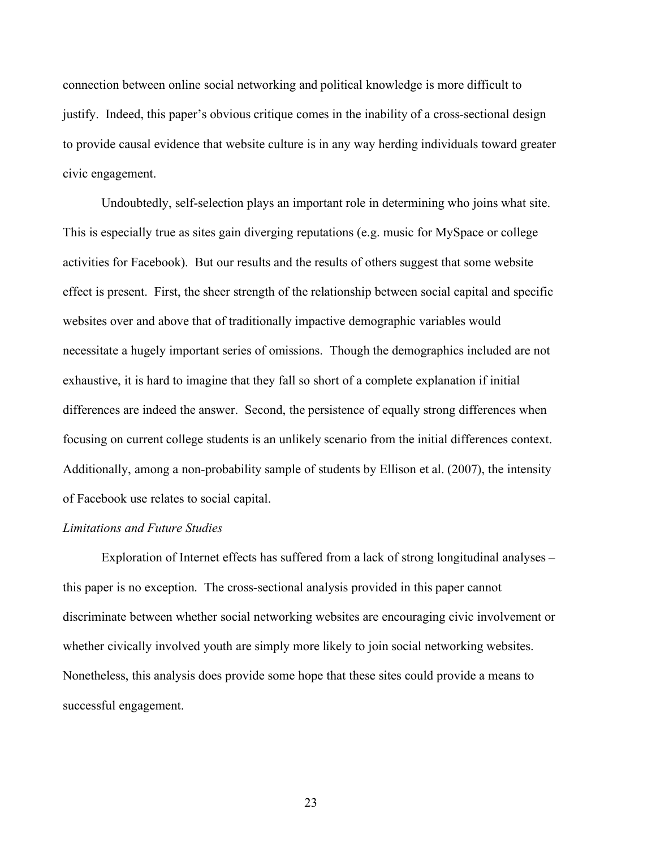connection between online social networking and political knowledge is more difficult to justify. Indeed, this paper's obvious critique comes in the inability of a cross-sectional design to provide causal evidence that website culture is in any way herding individuals toward greater civic engagement.

Undoubtedly, self-selection plays an important role in determining who joins what site. This is especially true as sites gain diverging reputations (e.g. music for MySpace or college activities for Facebook). But our results and the results of others suggest that some website effect is present. First, the sheer strength of the relationship between social capital and specific websites over and above that of traditionally impactive demographic variables would necessitate a hugely important series of omissions. Though the demographics included are not exhaustive, it is hard to imagine that they fall so short of a complete explanation if initial differences are indeed the answer. Second, the persistence of equally strong differences when focusing on current college students is an unlikely scenario from the initial differences context. Additionally, among a non-probability sample of students by Ellison et al. (2007), the intensity of Facebook use relates to social capital.

#### *Limitations and Future Studies*

Exploration of Internet effects has suffered from a lack of strong longitudinal analyses – this paper is no exception. The cross-sectional analysis provided in this paper cannot discriminate between whether social networking websites are encouraging civic involvement or whether civically involved youth are simply more likely to join social networking websites. Nonetheless, this analysis does provide some hope that these sites could provide a means to successful engagement.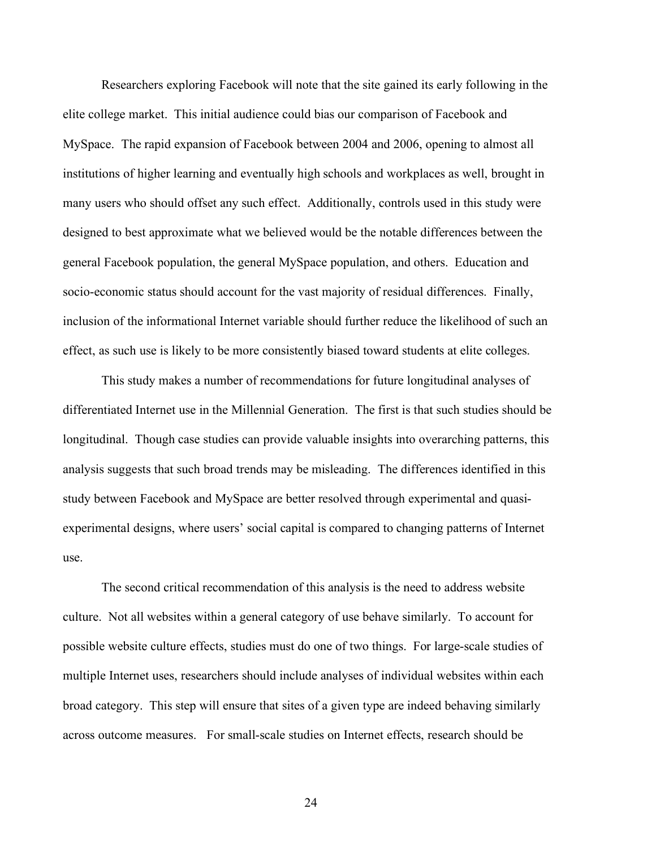Researchers exploring Facebook will note that the site gained its early following in the elite college market. This initial audience could bias our comparison of Facebook and MySpace. The rapid expansion of Facebook between 2004 and 2006, opening to almost all institutions of higher learning and eventually high schools and workplaces as well, brought in many users who should offset any such effect. Additionally, controls used in this study were designed to best approximate what we believed would be the notable differences between the general Facebook population, the general MySpace population, and others. Education and socio-economic status should account for the vast majority of residual differences. Finally, inclusion of the informational Internet variable should further reduce the likelihood of such an effect, as such use is likely to be more consistently biased toward students at elite colleges.

This study makes a number of recommendations for future longitudinal analyses of differentiated Internet use in the Millennial Generation. The first is that such studies should be longitudinal. Though case studies can provide valuable insights into overarching patterns, this analysis suggests that such broad trends may be misleading. The differences identified in this study between Facebook and MySpace are better resolved through experimental and quasiexperimental designs, where users' social capital is compared to changing patterns of Internet use.

The second critical recommendation of this analysis is the need to address website culture. Not all websites within a general category of use behave similarly. To account for possible website culture effects, studies must do one of two things. For large-scale studies of multiple Internet uses, researchers should include analyses of individual websites within each broad category. This step will ensure that sites of a given type are indeed behaving similarly across outcome measures. For small-scale studies on Internet effects, research should be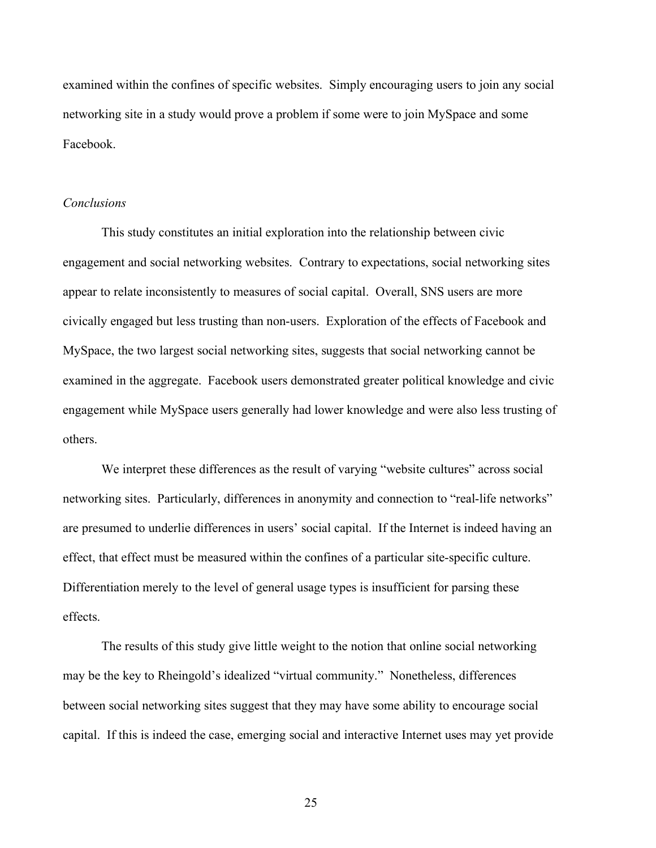examined within the confines of specific websites. Simply encouraging users to join any social networking site in a study would prove a problem if some were to join MySpace and some Facebook.

#### *Conclusions*

This study constitutes an initial exploration into the relationship between civic engagement and social networking websites. Contrary to expectations, social networking sites appear to relate inconsistently to measures of social capital. Overall, SNS users are more civically engaged but less trusting than non-users. Exploration of the effects of Facebook and MySpace, the two largest social networking sites, suggests that social networking cannot be examined in the aggregate. Facebook users demonstrated greater political knowledge and civic engagement while MySpace users generally had lower knowledge and were also less trusting of others.

We interpret these differences as the result of varying "website cultures" across social networking sites. Particularly, differences in anonymity and connection to "real-life networks" are presumed to underlie differences in users' social capital. If the Internet is indeed having an effect, that effect must be measured within the confines of a particular site-specific culture. Differentiation merely to the level of general usage types is insufficient for parsing these effects.

The results of this study give little weight to the notion that online social networking may be the key to Rheingold's idealized "virtual community." Nonetheless, differences between social networking sites suggest that they may have some ability to encourage social capital. If this is indeed the case, emerging social and interactive Internet uses may yet provide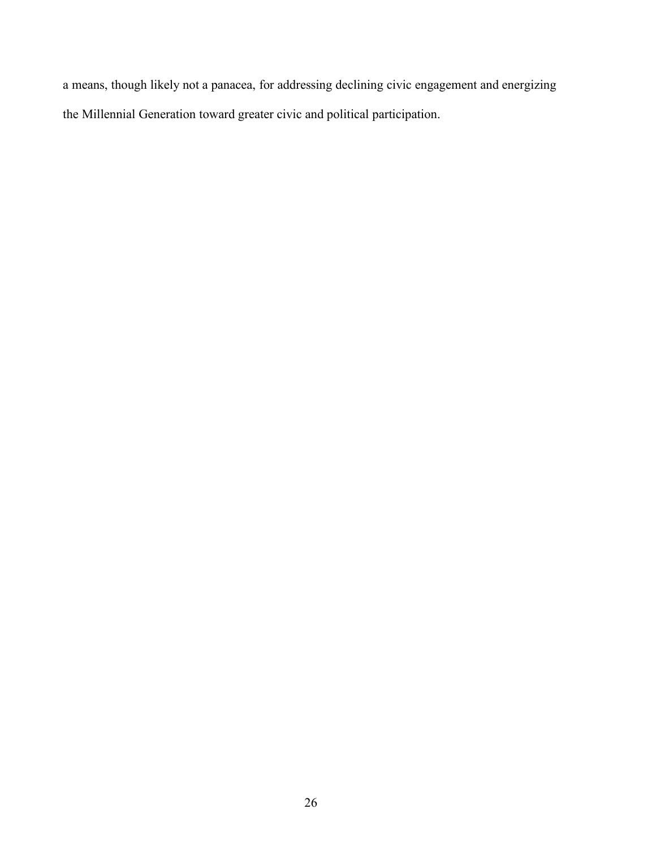a means, though likely not a panacea, for addressing declining civic engagement and energizing the Millennial Generation toward greater civic and political participation.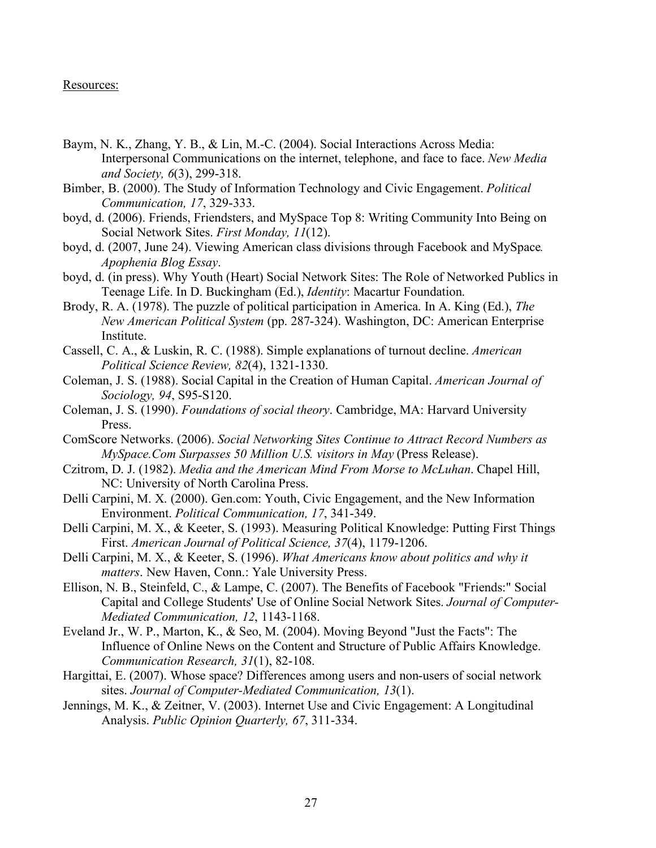#### Resources:

- Baym, N. K., Zhang, Y. B., & Lin, M.-C. (2004). Social Interactions Across Media: Interpersonal Communications on the internet, telephone, and face to face. *New Media and Society, 6*(3), 299-318.
- Bimber, B. (2000). The Study of Information Technology and Civic Engagement. *Political Communication, 17*, 329-333.
- boyd, d. (2006). Friends, Friendsters, and MySpace Top 8: Writing Community Into Being on Social Network Sites. *First Monday, 11*(12).
- boyd, d. (2007, June 24). Viewing American class divisions through Facebook and MySpace*. Apophenia Blog Essay*.
- boyd, d. (in press). Why Youth (Heart) Social Network Sites: The Role of Networked Publics in Teenage Life. In D. Buckingham (Ed.), *Identity*: Macartur Foundation.
- Brody, R. A. (1978). The puzzle of political participation in America. In A. King (Ed.), *The New American Political System* (pp. 287-324). Washington, DC: American Enterprise Institute.
- Cassell, C. A., & Luskin, R. C. (1988). Simple explanations of turnout decline. *American Political Science Review, 82*(4), 1321-1330.
- Coleman, J. S. (1988). Social Capital in the Creation of Human Capital. *American Journal of Sociology, 94*, S95-S120.
- Coleman, J. S. (1990). *Foundations of social theory*. Cambridge, MA: Harvard University Press.
- ComScore Networks. (2006). *Social Networking Sites Continue to Attract Record Numbers as MySpace.Com Surpasses 50 Million U.S. visitors in May* (Press Release).
- Czitrom, D. J. (1982). *Media and the American Mind From Morse to McLuhan*. Chapel Hill, NC: University of North Carolina Press.
- Delli Carpini, M. X. (2000). Gen.com: Youth, Civic Engagement, and the New Information Environment. *Political Communication, 17*, 341-349.
- Delli Carpini, M. X., & Keeter, S. (1993). Measuring Political Knowledge: Putting First Things First. *American Journal of Political Science, 37*(4), 1179-1206.
- Delli Carpini, M. X., & Keeter, S. (1996). *What Americans know about politics and why it matters*. New Haven, Conn.: Yale University Press.
- Ellison, N. B., Steinfeld, C., & Lampe, C. (2007). The Benefits of Facebook "Friends:" Social Capital and College Students' Use of Online Social Network Sites. *Journal of Computer-Mediated Communication, 12*, 1143-1168.
- Eveland Jr., W. P., Marton, K., & Seo, M. (2004). Moving Beyond "Just the Facts": The Influence of Online News on the Content and Structure of Public Affairs Knowledge. *Communication Research, 31*(1), 82-108.
- Hargittai, E. (2007). Whose space? Differences among users and non-users of social network sites. *Journal of Computer-Mediated Communication, 13*(1).
- Jennings, M. K., & Zeitner, V. (2003). Internet Use and Civic Engagement: A Longitudinal Analysis. *Public Opinion Quarterly, 67*, 311-334.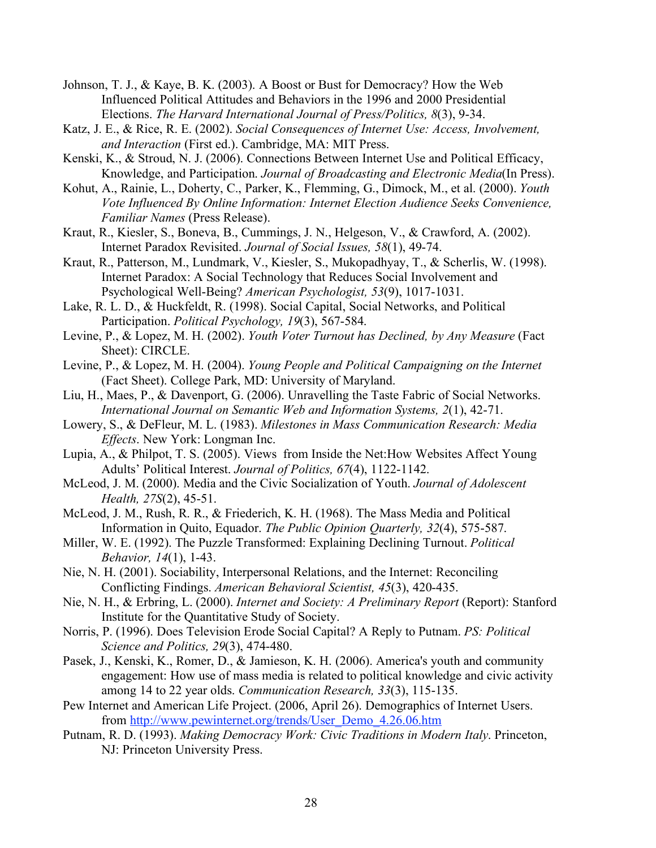- Johnson, T. J., & Kaye, B. K. (2003). A Boost or Bust for Democracy? How the Web Influenced Political Attitudes and Behaviors in the 1996 and 2000 Presidential Elections. *The Harvard International Journal of Press/Politics, 8*(3), 9-34.
- Katz, J. E., & Rice, R. E. (2002). *Social Consequences of Internet Use: Access, Involvement, and Interaction* (First ed.). Cambridge, MA: MIT Press.
- Kenski, K., & Stroud, N. J. (2006). Connections Between Internet Use and Political Efficacy, Knowledge, and Participation. *Journal of Broadcasting and Electronic Media*(In Press).
- Kohut, A., Rainie, L., Doherty, C., Parker, K., Flemming, G., Dimock, M., et al. (2000). *Youth Vote Influenced By Online Information: Internet Election Audience Seeks Convenience, Familiar Names* (Press Release).
- Kraut, R., Kiesler, S., Boneva, B., Cummings, J. N., Helgeson, V., & Crawford, A. (2002). Internet Paradox Revisited. *Journal of Social Issues, 58*(1), 49-74.
- Kraut, R., Patterson, M., Lundmark, V., Kiesler, S., Mukopadhyay, T., & Scherlis, W. (1998). Internet Paradox: A Social Technology that Reduces Social Involvement and Psychological Well-Being? *American Psychologist, 53*(9), 1017-1031.
- Lake, R. L. D., & Huckfeldt, R. (1998). Social Capital, Social Networks, and Political Participation. *Political Psychology, 19*(3), 567-584.
- Levine, P., & Lopez, M. H. (2002). *Youth Voter Turnout has Declined, by Any Measure* (Fact Sheet): CIRCLE.
- Levine, P., & Lopez, M. H. (2004). *Young People and Political Campaigning on the Internet* (Fact Sheet). College Park, MD: University of Maryland.
- Liu, H., Maes, P., & Davenport, G. (2006). Unravelling the Taste Fabric of Social Networks. *International Journal on Semantic Web and Information Systems, 2*(1), 42-71.
- Lowery, S., & DeFleur, M. L. (1983). *Milestones in Mass Communication Research: Media Effects*. New York: Longman Inc.
- Lupia, A., & Philpot, T. S. (2005). Views from Inside the Net:How Websites Affect Young Adults' Political Interest. *Journal of Politics, 67*(4), 1122-1142.
- McLeod, J. M. (2000). Media and the Civic Socialization of Youth. *Journal of Adolescent Health, 27S*(2), 45-51.
- McLeod, J. M., Rush, R. R., & Friederich, K. H. (1968). The Mass Media and Political Information in Quito, Equador. *The Public Opinion Quarterly, 32*(4), 575-587.
- Miller, W. E. (1992). The Puzzle Transformed: Explaining Declining Turnout. *Political Behavior, 14*(1), 1-43.
- Nie, N. H. (2001). Sociability, Interpersonal Relations, and the Internet: Reconciling Conflicting Findings. *American Behavioral Scientist, 45*(3), 420-435.
- Nie, N. H., & Erbring, L. (2000). *Internet and Society: A Preliminary Report* (Report): Stanford Institute for the Quantitative Study of Society.
- Norris, P. (1996). Does Television Erode Social Capital? A Reply to Putnam. *PS: Political Science and Politics, 29*(3), 474-480.
- Pasek, J., Kenski, K., Romer, D., & Jamieson, K. H. (2006). America's youth and community engagement: How use of mass media is related to political knowledge and civic activity among 14 to 22 year olds. *Communication Research, 33*(3), 115-135.
- Pew Internet and American Life Project. (2006, April 26). Demographics of Internet Users. from http://www.pewinternet.org/trends/User\_Demo\_4.26.06.htm
- Putnam, R. D. (1993). *Making Democracy Work: Civic Traditions in Modern Italy*. Princeton, NJ: Princeton University Press.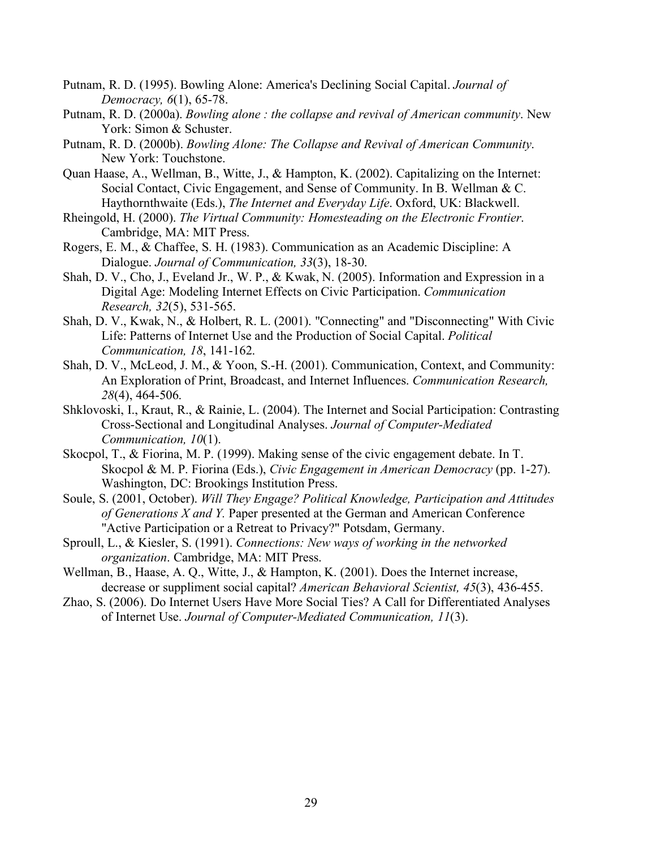- Putnam, R. D. (1995). Bowling Alone: America's Declining Social Capital. *Journal of Democracy, 6*(1), 65-78.
- Putnam, R. D. (2000a). *Bowling alone : the collapse and revival of American community*. New York: Simon & Schuster.
- Putnam, R. D. (2000b). *Bowling Alone: The Collapse and Revival of American Community*. New York: Touchstone.
- Quan Haase, A., Wellman, B., Witte, J., & Hampton, K. (2002). Capitalizing on the Internet: Social Contact, Civic Engagement, and Sense of Community. In B. Wellman & C. Haythornthwaite (Eds.), *The Internet and Everyday Life*. Oxford, UK: Blackwell.
- Rheingold, H. (2000). *The Virtual Community: Homesteading on the Electronic Frontier*. Cambridge, MA: MIT Press.
- Rogers, E. M., & Chaffee, S. H. (1983). Communication as an Academic Discipline: A Dialogue. *Journal of Communication, 33*(3), 18-30.
- Shah, D. V., Cho, J., Eveland Jr., W. P., & Kwak, N. (2005). Information and Expression in a Digital Age: Modeling Internet Effects on Civic Participation. *Communication Research, 32*(5), 531-565.
- Shah, D. V., Kwak, N., & Holbert, R. L. (2001). "Connecting" and "Disconnecting" With Civic Life: Patterns of Internet Use and the Production of Social Capital. *Political Communication, 18*, 141-162.
- Shah, D. V., McLeod, J. M., & Yoon, S.-H. (2001). Communication, Context, and Community: An Exploration of Print, Broadcast, and Internet Influences. *Communication Research, 28*(4), 464-506.
- Shklovoski, I., Kraut, R., & Rainie, L. (2004). The Internet and Social Participation: Contrasting Cross-Sectional and Longitudinal Analyses. *Journal of Computer-Mediated Communication, 10*(1).
- Skocpol, T., & Fiorina, M. P. (1999). Making sense of the civic engagement debate. In T. Skocpol & M. P. Fiorina (Eds.), *Civic Engagement in American Democracy* (pp. 1-27). Washington, DC: Brookings Institution Press.
- Soule, S. (2001, October). *Will They Engage? Political Knowledge, Participation and Attitudes of Generations X and Y.* Paper presented at the German and American Conference "Active Participation or a Retreat to Privacy?" Potsdam, Germany.
- Sproull, L., & Kiesler, S. (1991). *Connections: New ways of working in the networked organization*. Cambridge, MA: MIT Press.
- Wellman, B., Haase, A. Q., Witte, J., & Hampton, K. (2001). Does the Internet increase, decrease or suppliment social capital? *American Behavioral Scientist, 45*(3), 436-455.
- Zhao, S. (2006). Do Internet Users Have More Social Ties? A Call for Differentiated Analyses of Internet Use. *Journal of Computer-Mediated Communication, 11*(3).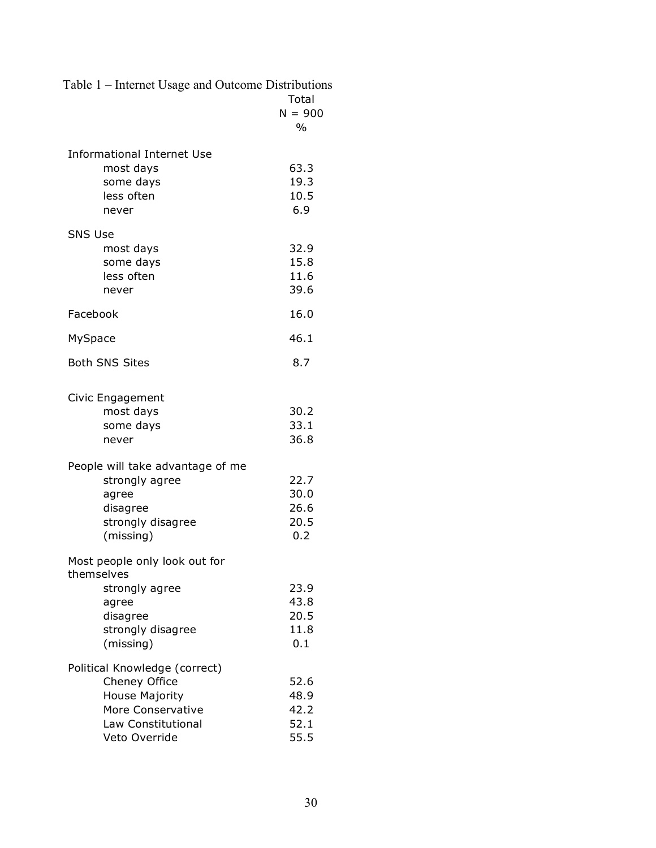Table 1 – Internet Usage and Outcome Distributions

|                                                                                                                                                     | Total<br>$N = 900$<br>$\frac{0}{0}$                  |
|-----------------------------------------------------------------------------------------------------------------------------------------------------|------------------------------------------------------|
| <b>Informational Internet Use</b><br>most days<br>some days<br>less often<br>never                                                                  | 63.3<br>19.3<br>10.5<br>6.9                          |
| <b>SNS Use</b><br>most days<br>some days<br>less often<br>never                                                                                     | 32.9<br>15.8<br>11.6<br>39.6                         |
| Facebook                                                                                                                                            | 16.0                                                 |
| MySpace                                                                                                                                             | 46.1                                                 |
| <b>Both SNS Sites</b>                                                                                                                               | 8.7                                                  |
| Civic Engagement<br>most days<br>some days<br>never<br>People will take advantage of me<br>strongly agree<br>agree<br>disagree<br>strongly disagree | 30.2<br>33.1<br>36.8<br>22.7<br>30.0<br>26.6<br>20.5 |
| (missing)<br>Most people only look out for<br>themselves<br>strongly agree<br>agree<br>disagree<br>strongly disagree<br>(missing)                   | 0.2<br>23.9<br>43.8<br>20.5<br>11.8<br>0.1           |
| Political Knowledge (correct)<br>Cheney Office<br><b>House Majority</b><br>More Conservative<br>Law Constitutional<br>Veto Override                 | 52.6<br>48.9<br>42.2<br>52.1<br>55.5                 |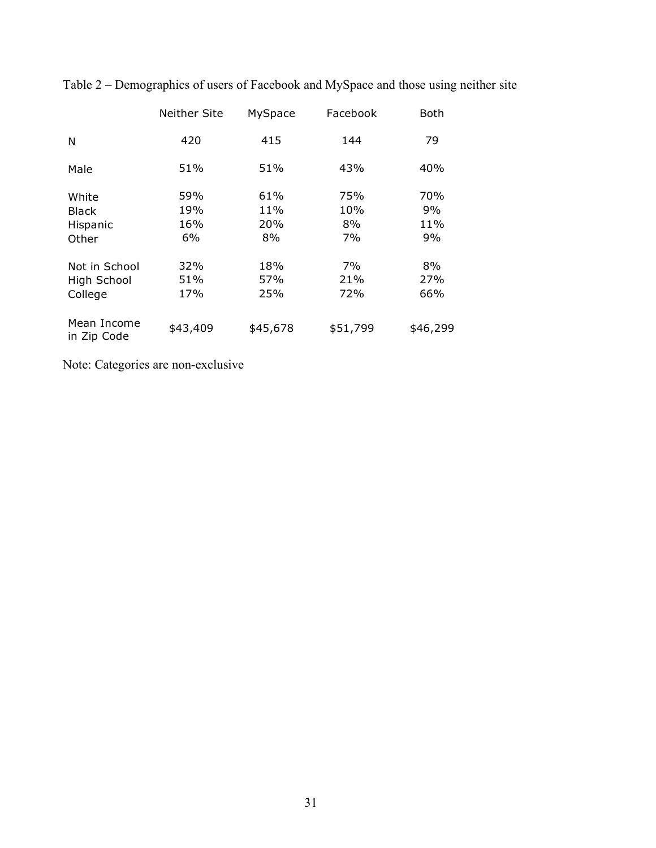|                            | Neither Site | MySpace  | Facebook | <b>Both</b> |
|----------------------------|--------------|----------|----------|-------------|
| N                          | 420          | 415      | 144      | 79          |
| Male                       | 51%          | 51%      | 43%      | 40%         |
| White                      | 59%          | 61%      | 75%      | 70%         |
| <b>Black</b>               | 19%          | 11%      | 10%      | 9%          |
| Hispanic                   | 16%          | 20%      | 8%       | 11%         |
| Other                      | 6%           | 8%       | 7%       | 9%          |
| Not in School              | 32%          | 18%      | 7%       | 8%          |
| High School                | 51%          | 57%      | 21%      | 27%         |
| College                    | 17%          | 25%      | 72%      | 66%         |
| Mean Income<br>in Zip Code | \$43,409     | \$45,678 | \$51,799 | \$46,299    |

Table 2 – Demographics of users of Facebook and MySpace and those using neither site

Note: Categories are non-exclusive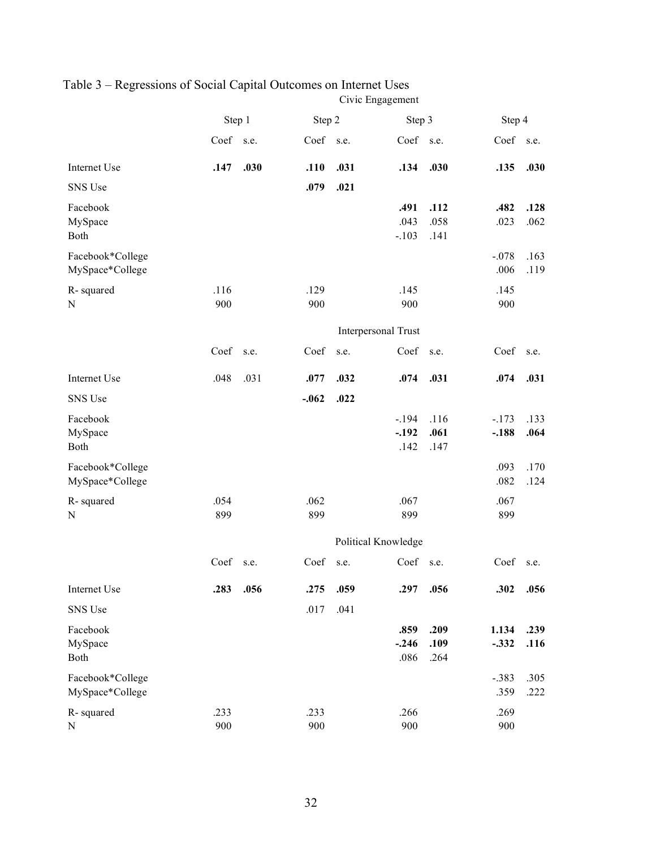|                                     | Step 1      |      |             | Step 2              |                            | Step 3               |                    | Step 4       |  |
|-------------------------------------|-------------|------|-------------|---------------------|----------------------------|----------------------|--------------------|--------------|--|
|                                     | Coef        | s.e. | Coef s.e.   |                     | Coef                       | s.e.                 | Coef               | s.e.         |  |
| Internet Use                        | .147        | .030 | .110        | .031                | .134                       | .030                 | .135               | .030         |  |
| SNS Use                             |             |      | .079        | .021                |                            |                      |                    |              |  |
| Facebook<br>MySpace<br>Both         |             |      |             |                     | .491<br>.043<br>$-.103$    | .112<br>.058<br>.141 | .482<br>.023       | .128<br>.062 |  |
| Facebook*College<br>MySpace*College |             |      |             |                     |                            |                      | $-.078$<br>.006    | .163<br>.119 |  |
| R-squared<br>N                      | .116<br>900 |      | .129<br>900 |                     | .145<br>900                |                      | .145<br>900        |              |  |
|                                     |             |      |             |                     | Interpersonal Trust        |                      |                    |              |  |
|                                     | Coef        | s.e. | Coef        | s.e.                | Coef                       | s.e.                 | Coef               | s.e.         |  |
| Internet Use                        | .048        | .031 | .077        | .032                | .074                       | .031                 | .074               | .031         |  |
| SNS Use                             |             |      | $-.062$     | .022                |                            |                      |                    |              |  |
| Facebook<br>MySpace<br>Both         |             |      |             |                     | $-.194$<br>$-.192$<br>.142 | .116<br>.061<br>.147 | $-.173$<br>$-.188$ | .133<br>.064 |  |
| Facebook*College<br>MySpace*College |             |      |             |                     |                            |                      | .093<br>.082       | .170<br>.124 |  |
| R-squared<br>N                      | .054<br>899 |      | .062<br>899 |                     | .067<br>899                |                      | .067<br>899        |              |  |
|                                     |             |      |             | Political Knowledge |                            |                      |                    |              |  |
|                                     | Coef        | s.e. | Coef        | s.e.                | Coef                       | s.e.                 | Coef               | s.e.         |  |
| Internet Use                        | .283        | .056 | .275        | .059                | .297                       | .056                 | .302               | .056         |  |
| SNS Use                             |             |      | .017        | .041                |                            |                      |                    |              |  |
| Facebook<br>MySpace<br>Both         |             |      |             |                     | .859<br>$-.246$<br>.086    | .209<br>.109<br>.264 | 1.134<br>$-.332$   | .239<br>.116 |  |
| Facebook*College<br>MySpace*College |             |      |             |                     |                            |                      | $-.383$<br>.359    | .305<br>.222 |  |
| R-squared<br>${\bf N}$              | .233<br>900 |      | .233<br>900 |                     | .266<br>900                |                      | .269<br>900        |              |  |

#### Table 3 – Regressions of Social Capital Outcomes on Internet Uses Civic Engagement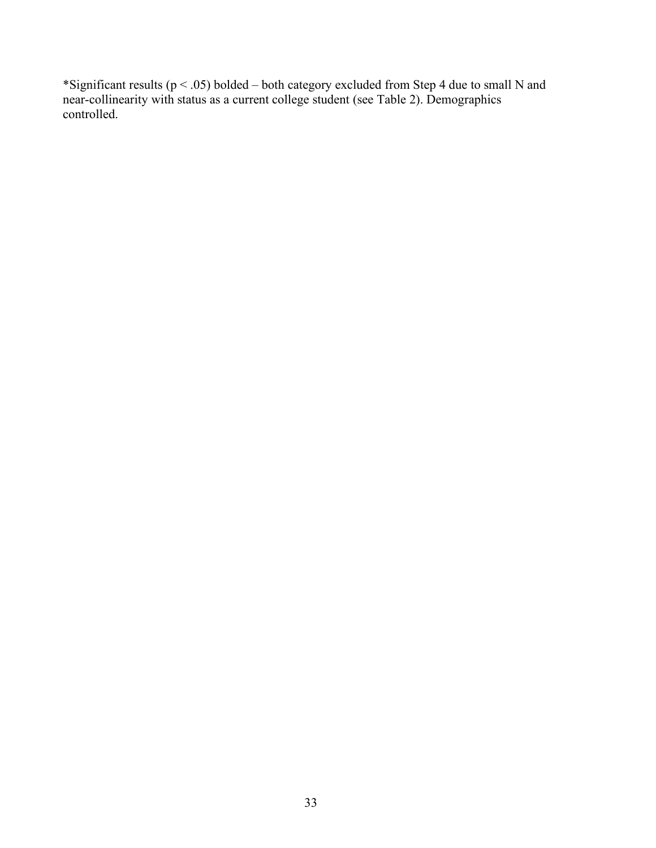\*Significant results ( $p < .05$ ) bolded – both category excluded from Step 4 due to small N and near-collinearity with status as a current college student (see Table 2). Demographics controlled.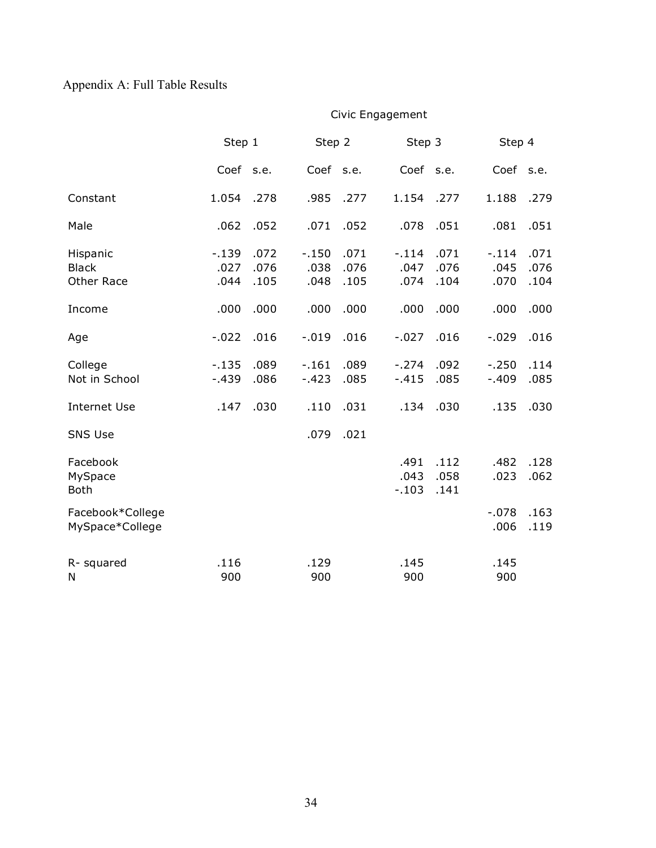# Appendix A: Full Table Results

|                                        | Step 1                 |                      |                         | Step 2               |                         | Step 3               |                         | Step 4               |  |
|----------------------------------------|------------------------|----------------------|-------------------------|----------------------|-------------------------|----------------------|-------------------------|----------------------|--|
|                                        | Coef s.e.              |                      | Coef s.e.               |                      | Coef s.e.               |                      | Coef s.e.               |                      |  |
| Constant                               | 1.054                  | .278                 | .985                    | .277                 | 1.154                   | .277                 | 1.188                   | .279                 |  |
| Male                                   | .062                   | .052                 | .071                    | .052                 | .078                    | .051                 | .081                    | .051                 |  |
| Hispanic<br><b>Black</b><br>Other Race | $-139$<br>.027<br>.044 | .072<br>.076<br>.105 | $-.150$<br>.038<br>.048 | .071<br>.076<br>.105 | $-.114$<br>.047<br>.074 | .071<br>.076<br>.104 | $-.114$<br>.045<br>.070 | .071<br>.076<br>.104 |  |
| Income                                 | .000                   | .000                 | .000                    | .000                 | .000                    | .000                 | .000                    | .000                 |  |
| Age                                    | $-.022$                | .016                 | $-.019$                 | .016                 | $-.027$                 | .016                 | $-.029$                 | .016                 |  |
| College<br>Not in School               | $-135$<br>$-439$       | .089<br>.086         | $-161$<br>$-.423$       | .089<br>.085         | $-.274$<br>$-415$       | .092<br>.085         | $-.250$<br>$-0.409$     | .114<br>.085         |  |
| <b>Internet Use</b>                    | .147                   | .030                 | .110                    | .031                 | .134                    | .030                 | .135                    | .030                 |  |
| <b>SNS Use</b>                         |                        |                      | .079                    | .021                 |                         |                      |                         |                      |  |
| Facebook<br>MySpace<br><b>Both</b>     |                        |                      |                         |                      | .491<br>.043<br>$-.103$ | .112<br>.058<br>.141 | .482<br>.023            | .128<br>.062         |  |
| Facebook*College<br>MySpace*College    |                        |                      |                         |                      |                         |                      | $-.078$<br>.006         | .163<br>.119         |  |
| R- squared<br>N                        | .116<br>900            |                      | .129<br>900             |                      | .145<br>900             |                      | .145<br>900             |                      |  |

Civic Engagement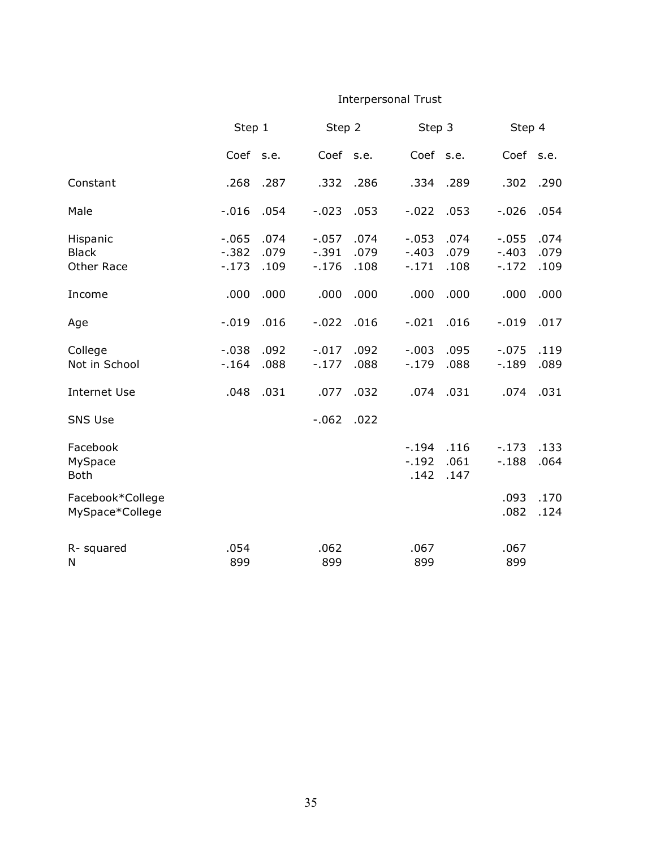## Interpersonal Trust

|                                        | Step 1                         |                      | Step 2                       |                      | Step 3                        |                      |                               | Step 4               |  |
|----------------------------------------|--------------------------------|----------------------|------------------------------|----------------------|-------------------------------|----------------------|-------------------------------|----------------------|--|
|                                        | Coef s.e.                      |                      | Coef s.e.                    |                      | Coef s.e.                     |                      | Coef s.e.                     |                      |  |
| Constant                               | .268                           | .287                 | .332                         | .286                 | .334                          | .289                 | .302                          | .290                 |  |
| Male                                   | $-.016$                        | .054                 | $-.023$                      | .053                 | $-.022$                       | .053                 | $-.026$                       | .054                 |  |
| Hispanic<br><b>Black</b><br>Other Race | $-0.065$<br>$-0.382$<br>$-173$ | .074<br>.079<br>.109 | $-.057$<br>$-.391$<br>$-176$ | .074<br>.079<br>.108 | $-.053$<br>$-.403$<br>$-.171$ | .074<br>.079<br>.108 | $-.055$<br>$-.403$<br>$-.172$ | .074<br>.079<br>.109 |  |
| Income                                 | .000                           | .000                 | .000                         | .000                 | .000                          | .000                 | .000                          | .000                 |  |
| Age                                    | $-.019$                        | .016                 | $-.022$                      | .016                 | $-.021$                       | .016                 | $-.019$                       | .017                 |  |
| College<br>Not in School               | $-.038$<br>$-164$              | .092<br>.088         | $-.017$<br>$-.177$           | .092<br>.088         | $-.003$<br>$-.179$            | .095<br>.088         | $-.075$<br>$-189$             | .119<br>.089         |  |
| <b>Internet Use</b>                    | .048                           | .031                 | .077                         | .032                 | .074                          | .031                 | .074                          | .031                 |  |
| <b>SNS Use</b>                         |                                |                      | $-0.062$                     | .022                 |                               |                      |                               |                      |  |
| Facebook<br>MySpace<br><b>Both</b>     |                                |                      |                              |                      | $-194$<br>$-.192$<br>.142     | .116<br>.061<br>.147 | $-.173$<br>$-188$             | .133<br>.064         |  |
| Facebook*College<br>MySpace*College    |                                |                      |                              |                      |                               |                      | .093<br>.082                  | .170<br>.124         |  |
| R- squared<br>N                        | .054<br>899                    |                      | .062<br>899                  |                      | .067<br>899                   |                      | .067<br>899                   |                      |  |